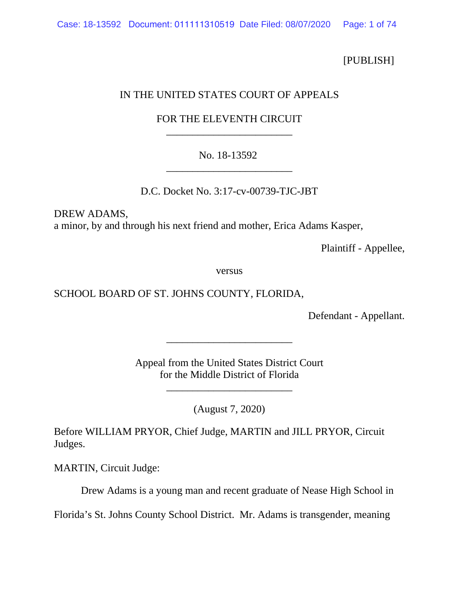[PUBLISH]

## IN THE UNITED STATES COURT OF APPEALS

# FOR THE ELEVENTH CIRCUIT \_\_\_\_\_\_\_\_\_\_\_\_\_\_\_\_\_\_\_\_\_\_\_\_

# No. 18-13592 \_\_\_\_\_\_\_\_\_\_\_\_\_\_\_\_\_\_\_\_\_\_\_\_

D.C. Docket No. 3:17-cv-00739-TJC-JBT

DREW ADAMS, a minor, by and through his next friend and mother, Erica Adams Kasper,

Plaintiff - Appellee,

versus

## SCHOOL BOARD OF ST. JOHNS COUNTY, FLORIDA,

Defendant - Appellant.

Appeal from the United States District Court for the Middle District of Florida

\_\_\_\_\_\_\_\_\_\_\_\_\_\_\_\_\_\_\_\_\_\_\_\_

\_\_\_\_\_\_\_\_\_\_\_\_\_\_\_\_\_\_\_\_\_\_\_\_

(August 7, 2020)

Before WILLIAM PRYOR, Chief Judge, MARTIN and JILL PRYOR, Circuit Judges.

MARTIN, Circuit Judge:

Drew Adams is a young man and recent graduate of Nease High School in

Florida's St. Johns County School District. Mr. Adams is transgender, meaning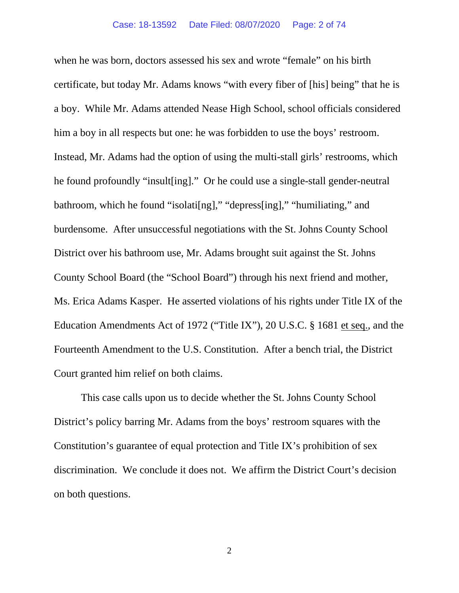when he was born, doctors assessed his sex and wrote "female" on his birth certificate, but today Mr. Adams knows "with every fiber of [his] being" that he is a boy. While Mr. Adams attended Nease High School, school officials considered him a boy in all respects but one: he was forbidden to use the boys' restroom. Instead, Mr. Adams had the option of using the multi-stall girls' restrooms, which he found profoundly "insult[ing]." Or he could use a single-stall gender-neutral bathroom, which he found "isolati[ng]," "depress[ing]," "humiliating," and burdensome. After unsuccessful negotiations with the St. Johns County School District over his bathroom use, Mr. Adams brought suit against the St. Johns County School Board (the "School Board") through his next friend and mother, Ms. Erica Adams Kasper. He asserted violations of his rights under Title IX of the Education Amendments Act of 1972 ("Title IX"), 20 U.S.C. § 1681 et seq., and the Fourteenth Amendment to the U.S. Constitution. After a bench trial, the District Court granted him relief on both claims.

This case calls upon us to decide whether the St. Johns County School District's policy barring Mr. Adams from the boys' restroom squares with the Constitution's guarantee of equal protection and Title IX's prohibition of sex discrimination. We conclude it does not. We affirm the District Court's decision on both questions.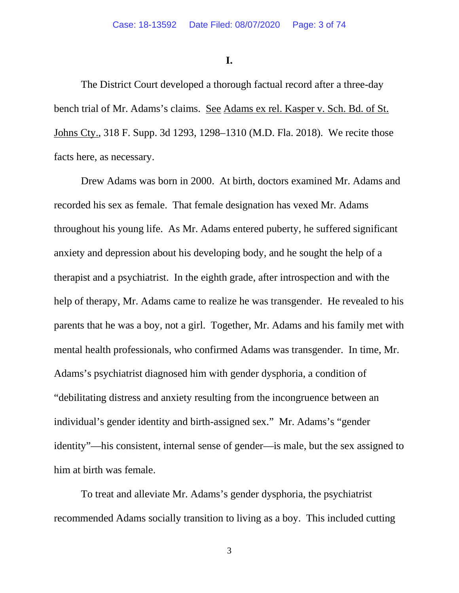**I.**

The District Court developed a thorough factual record after a three-day bench trial of Mr. Adams's claims. See Adams ex rel. Kasper v. Sch. Bd. of St. Johns Cty., 318 F. Supp. 3d 1293, 1298–1310 (M.D. Fla. 2018). We recite those facts here, as necessary.

Drew Adams was born in 2000. At birth, doctors examined Mr. Adams and recorded his sex as female. That female designation has vexed Mr. Adams throughout his young life. As Mr. Adams entered puberty, he suffered significant anxiety and depression about his developing body, and he sought the help of a therapist and a psychiatrist. In the eighth grade, after introspection and with the help of therapy, Mr. Adams came to realize he was transgender. He revealed to his parents that he was a boy, not a girl. Together, Mr. Adams and his family met with mental health professionals, who confirmed Adams was transgender. In time, Mr. Adams's psychiatrist diagnosed him with gender dysphoria, a condition of "debilitating distress and anxiety resulting from the incongruence between an individual's gender identity and birth-assigned sex." Mr. Adams's "gender identity"—his consistent, internal sense of gender—is male, but the sex assigned to him at birth was female.

To treat and alleviate Mr. Adams's gender dysphoria, the psychiatrist recommended Adams socially transition to living as a boy. This included cutting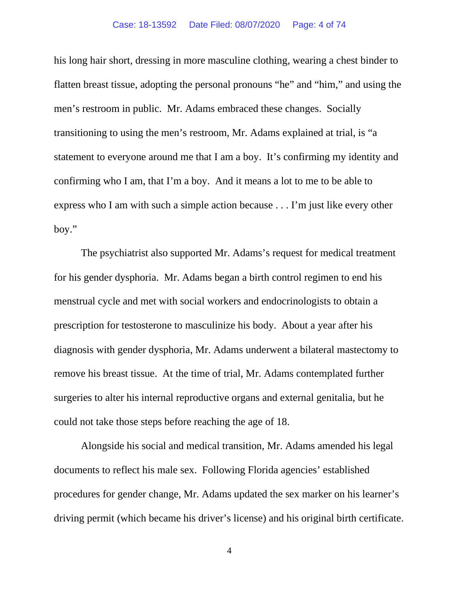### Case: 18-13592 Date Filed: 08/07/2020 Page: 4 of 74

his long hair short, dressing in more masculine clothing, wearing a chest binder to flatten breast tissue, adopting the personal pronouns "he" and "him," and using the men's restroom in public. Mr. Adams embraced these changes. Socially transitioning to using the men's restroom, Mr. Adams explained at trial, is "a statement to everyone around me that I am a boy. It's confirming my identity and confirming who I am, that I'm a boy. And it means a lot to me to be able to express who I am with such a simple action because . . . I'm just like every other boy."

The psychiatrist also supported Mr. Adams's request for medical treatment for his gender dysphoria. Mr. Adams began a birth control regimen to end his menstrual cycle and met with social workers and endocrinologists to obtain a prescription for testosterone to masculinize his body. About a year after his diagnosis with gender dysphoria, Mr. Adams underwent a bilateral mastectomy to remove his breast tissue. At the time of trial, Mr. Adams contemplated further surgeries to alter his internal reproductive organs and external genitalia, but he could not take those steps before reaching the age of 18.

Alongside his social and medical transition, Mr. Adams amended his legal documents to reflect his male sex. Following Florida agencies' established procedures for gender change, Mr. Adams updated the sex marker on his learner's driving permit (which became his driver's license) and his original birth certificate.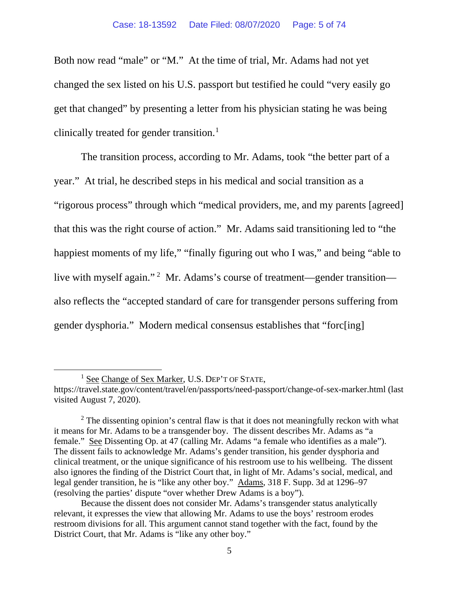Both now read "male" or "M." At the time of trial, Mr. Adams had not yet changed the sex listed on his U.S. passport but testified he could "very easily go get that changed" by presenting a letter from his physician stating he was being clinically treated for gender transition.<sup>[1](#page-44-0)</sup>

The transition process, according to Mr. Adams, took "the better part of a year." At trial, he described steps in his medical and social transition as a "rigorous process" through which "medical providers, me, and my parents [agreed] that this was the right course of action." Mr. Adams said transitioning led to "the happiest moments of my life," "finally figuring out who I was," and being "able to live with myself again."<sup>[2](#page-44-0)</sup> Mr. Adams's course of treatment—gender transition also reflects the "accepted standard of care for transgender persons suffering from gender dysphoria." Modern medical consensus establishes that "forc[ing]

<sup>&</sup>lt;sup>1</sup> See Change of Sex Marker, U.S. DEP'T OF STATE,

https://travel.state.gov/content/travel/en/passports/need-passport/change-of-sex-marker.html (last visited August 7, 2020).

 $2$  The dissenting opinion's central flaw is that it does not meaningfully reckon with what it means for Mr. Adams to be a transgender boy. The dissent describes Mr. Adams as "a female." See Dissenting Op. at 47 (calling Mr. Adams "a female who identifies as a male"). The dissent fails to acknowledge Mr. Adams's gender transition, his gender dysphoria and clinical treatment, or the unique significance of his restroom use to his wellbeing. The dissent also ignores the finding of the District Court that, in light of Mr. Adams's social, medical, and legal gender transition, he is "like any other boy." Adams, 318 F. Supp. 3d at 1296–97 (resolving the parties' dispute "over whether Drew Adams is a boy").

Because the dissent does not consider Mr. Adams's transgender status analytically relevant, it expresses the view that allowing Mr. Adams to use the boys' restroom erodes restroom divisions for all. This argument cannot stand together with the fact, found by the District Court, that Mr. Adams is "like any other boy."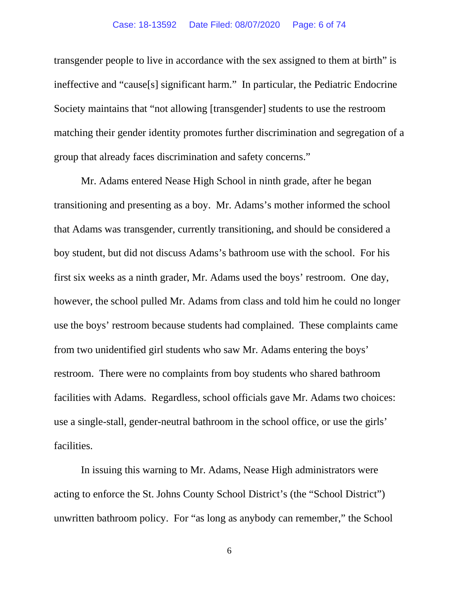### Case: 18-13592 Date Filed: 08/07/2020 Page: 6 of 74

transgender people to live in accordance with the sex assigned to them at birth" is ineffective and "cause[s] significant harm." In particular, the Pediatric Endocrine Society maintains that "not allowing [transgender] students to use the restroom matching their gender identity promotes further discrimination and segregation of a group that already faces discrimination and safety concerns."

Mr. Adams entered Nease High School in ninth grade, after he began transitioning and presenting as a boy. Mr. Adams's mother informed the school that Adams was transgender, currently transitioning, and should be considered a boy student, but did not discuss Adams's bathroom use with the school. For his first six weeks as a ninth grader, Mr. Adams used the boys' restroom. One day, however, the school pulled Mr. Adams from class and told him he could no longer use the boys' restroom because students had complained. These complaints came from two unidentified girl students who saw Mr. Adams entering the boys' restroom. There were no complaints from boy students who shared bathroom facilities with Adams. Regardless, school officials gave Mr. Adams two choices: use a single-stall, gender-neutral bathroom in the school office, or use the girls' facilities.

In issuing this warning to Mr. Adams, Nease High administrators were acting to enforce the St. Johns County School District's (the "School District") unwritten bathroom policy. For "as long as anybody can remember," the School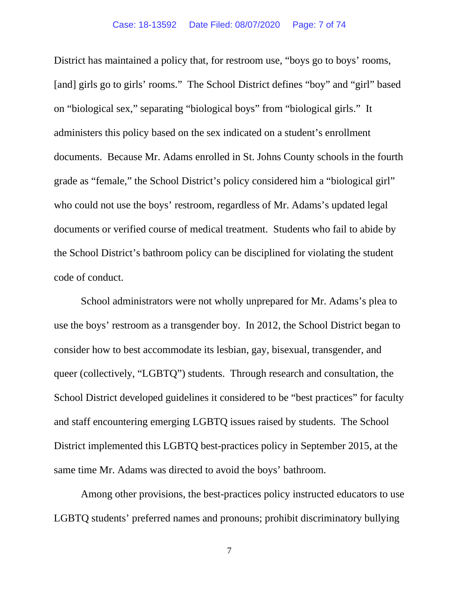### Case: 18-13592 Date Filed: 08/07/2020 Page: 7 of 74

District has maintained a policy that, for restroom use, "boys go to boys' rooms, [and] girls go to girls' rooms." The School District defines "boy" and "girl" based on "biological sex," separating "biological boys" from "biological girls." It administers this policy based on the sex indicated on a student's enrollment documents. Because Mr. Adams enrolled in St. Johns County schools in the fourth grade as "female," the School District's policy considered him a "biological girl" who could not use the boys' restroom, regardless of Mr. Adams's updated legal documents or verified course of medical treatment. Students who fail to abide by the School District's bathroom policy can be disciplined for violating the student code of conduct.

School administrators were not wholly unprepared for Mr. Adams's plea to use the boys' restroom as a transgender boy. In 2012, the School District began to consider how to best accommodate its lesbian, gay, bisexual, transgender, and queer (collectively, "LGBTQ") students. Through research and consultation, the School District developed guidelines it considered to be "best practices" for faculty and staff encountering emerging LGBTQ issues raised by students. The School District implemented this LGBTQ best-practices policy in September 2015, at the same time Mr. Adams was directed to avoid the boys' bathroom.

Among other provisions, the best-practices policy instructed educators to use LGBTQ students' preferred names and pronouns; prohibit discriminatory bullying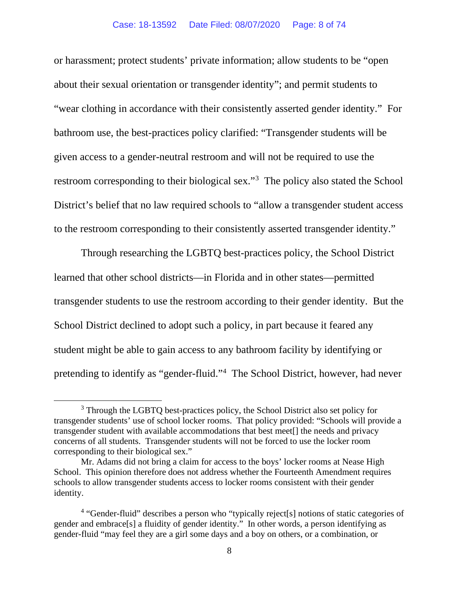or harassment; protect students' private information; allow students to be "open about their sexual orientation or transgender identity"; and permit students to "wear clothing in accordance with their consistently asserted gender identity." For bathroom use, the best-practices policy clarified: "Transgender students will be given access to a gender-neutral restroom and will not be required to use the restroom corresponding to their biological sex."<sup>[3](#page-44-0)</sup> The policy also stated the School District's belief that no law required schools to "allow a transgender student access to the restroom corresponding to their consistently asserted transgender identity."

Through researching the LGBTQ best-practices policy, the School District learned that other school districts—in Florida and in other states—permitted transgender students to use the restroom according to their gender identity. But the School District declined to adopt such a policy, in part because it feared any student might be able to gain access to any bathroom facility by identifying or pretending to identify as "gender-fluid."[4](#page-44-0) The School District, however, had never

<sup>&</sup>lt;sup>3</sup> Through the LGBTQ best-practices policy, the School District also set policy for transgender students' use of school locker rooms. That policy provided: "Schools will provide a transgender student with available accommodations that best meet[] the needs and privacy concerns of all students. Transgender students will not be forced to use the locker room corresponding to their biological sex."

Mr. Adams did not bring a claim for access to the boys' locker rooms at Nease High School. This opinion therefore does not address whether the Fourteenth Amendment requires schools to allow transgender students access to locker rooms consistent with their gender identity.

<sup>&</sup>lt;sup>4</sup> "Gender-fluid" describes a person who "typically reject[s] notions of static categories of gender and embrace[s] a fluidity of gender identity." In other words, a person identifying as gender-fluid "may feel they are a girl some days and a boy on others, or a combination, or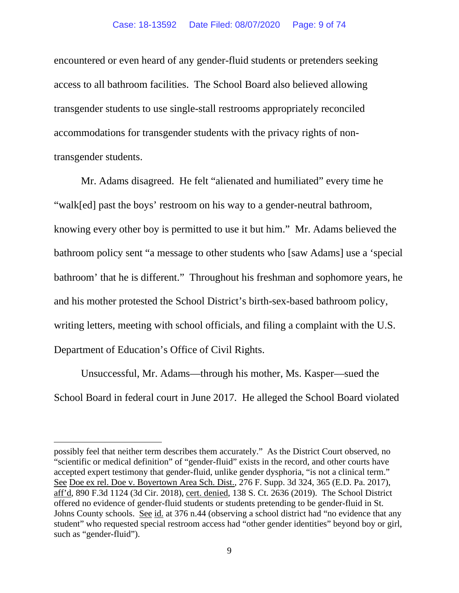encountered or even heard of any gender-fluid students or pretenders seeking access to all bathroom facilities. The School Board also believed allowing transgender students to use single-stall restrooms appropriately reconciled accommodations for transgender students with the privacy rights of nontransgender students.

Mr. Adams disagreed. He felt "alienated and humiliated" every time he "walk[ed] past the boys' restroom on his way to a gender-neutral bathroom, knowing every other boy is permitted to use it but him." Mr. Adams believed the bathroom policy sent "a message to other students who [saw Adams] use a 'special bathroom' that he is different." Throughout his freshman and sophomore years, he and his mother protested the School District's birth-sex-based bathroom policy, writing letters, meeting with school officials, and filing a complaint with the U.S. Department of Education's Office of Civil Rights.

Unsuccessful, Mr. Adams—through his mother, Ms. Kasper—sued the School Board in federal court in June 2017. He alleged the School Board violated

possibly feel that neither term describes them accurately." As the District Court observed, no "scientific or medical definition" of "gender-fluid" exists in the record, and other courts have accepted expert testimony that gender-fluid, unlike gender dysphoria, "is not a clinical term." See Doe ex rel. Doe v. Boyertown Area Sch. Dist., 276 F. Supp. 3d 324, 365 (E.D. Pa. 2017), aff'd, 890 F.3d 1124 (3d Cir. 2018), cert. denied, 138 S. Ct. 2636 (2019). The School District offered no evidence of gender-fluid students or students pretending to be gender-fluid in St. Johns County schools. See id. at 376 n.44 (observing a school district had "no evidence that any student" who requested special restroom access had "other gender identities" beyond boy or girl, such as "gender-fluid").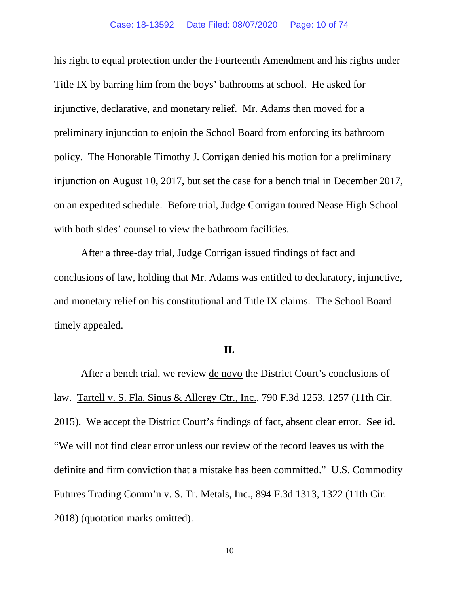his right to equal protection under the Fourteenth Amendment and his rights under Title IX by barring him from the boys' bathrooms at school. He asked for injunctive, declarative, and monetary relief. Mr. Adams then moved for a preliminary injunction to enjoin the School Board from enforcing its bathroom policy. The Honorable Timothy J. Corrigan denied his motion for a preliminary injunction on August 10, 2017, but set the case for a bench trial in December 2017, on an expedited schedule. Before trial, Judge Corrigan toured Nease High School with both sides' counsel to view the bathroom facilities.

After a three-day trial, Judge Corrigan issued findings of fact and conclusions of law, holding that Mr. Adams was entitled to declaratory, injunctive, and monetary relief on his constitutional and Title IX claims. The School Board timely appealed.

## **II.**

After a bench trial, we review <u>de novo</u> the District Court's conclusions of law. Tartell v. S. Fla. Sinus & Allergy Ctr., Inc., 790 F.3d 1253, 1257 (11th Cir. 2015). We accept the District Court's findings of fact, absent clear error. See id. "We will not find clear error unless our review of the record leaves us with the definite and firm conviction that a mistake has been committed." U.S. Commodity Futures Trading Comm'n v. S. Tr. Metals, Inc., 894 F.3d 1313, 1322 (11th Cir. 2018) (quotation marks omitted).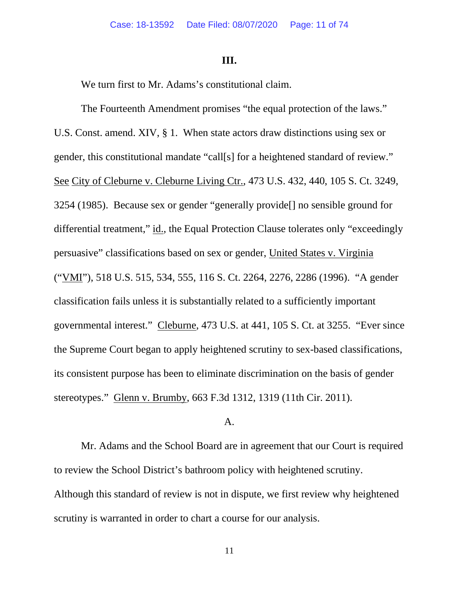## **III.**

We turn first to Mr. Adams's constitutional claim.

The Fourteenth Amendment promises "the equal protection of the laws." U.S. Const. amend. XIV, § 1. When state actors draw distinctions using sex or gender, this constitutional mandate "call[s] for a heightened standard of review." See City of Cleburne v. Cleburne Living Ctr., 473 U.S. 432, 440, 105 S. Ct. 3249, 3254 (1985). Because sex or gender "generally provide[] no sensible ground for differential treatment," id., the Equal Protection Clause tolerates only "exceedingly persuasive" classifications based on sex or gender, United States v. Virginia ("VMI"), 518 U.S. 515, 534, 555, 116 S. Ct. 2264, 2276, 2286 (1996). "A gender classification fails unless it is substantially related to a sufficiently important governmental interest." Cleburne, 473 U.S. at 441, 105 S. Ct. at 3255. "Ever since the Supreme Court began to apply heightened scrutiny to sex-based classifications, its consistent purpose has been to eliminate discrimination on the basis of gender stereotypes." Glenn v. Brumby, 663 F.3d 1312, 1319 (11th Cir. 2011).

## A.

Mr. Adams and the School Board are in agreement that our Court is required to review the School District's bathroom policy with heightened scrutiny. Although this standard of review is not in dispute, we first review why heightened scrutiny is warranted in order to chart a course for our analysis.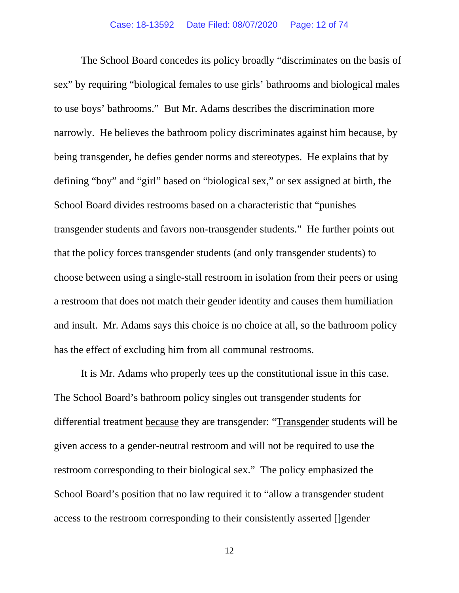The School Board concedes its policy broadly "discriminates on the basis of sex" by requiring "biological females to use girls' bathrooms and biological males to use boys' bathrooms." But Mr. Adams describes the discrimination more narrowly. He believes the bathroom policy discriminates against him because, by being transgender, he defies gender norms and stereotypes. He explains that by defining "boy" and "girl" based on "biological sex," or sex assigned at birth, the School Board divides restrooms based on a characteristic that "punishes transgender students and favors non-transgender students." He further points out that the policy forces transgender students (and only transgender students) to choose between using a single-stall restroom in isolation from their peers or using a restroom that does not match their gender identity and causes them humiliation and insult. Mr. Adams says this choice is no choice at all, so the bathroom policy has the effect of excluding him from all communal restrooms.

It is Mr. Adams who properly tees up the constitutional issue in this case. The School Board's bathroom policy singles out transgender students for differential treatment because they are transgender: "Transgender students will be given access to a gender-neutral restroom and will not be required to use the restroom corresponding to their biological sex." The policy emphasized the School Board's position that no law required it to "allow a transgender student access to the restroom corresponding to their consistently asserted []gender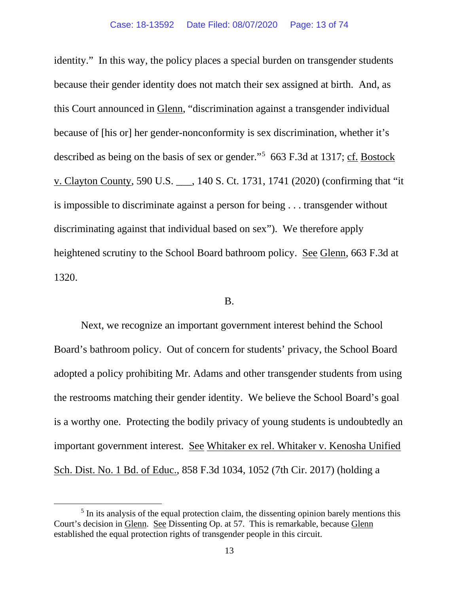identity." In this way, the policy places a special burden on transgender students because their gender identity does not match their sex assigned at birth. And, as this Court announced in Glenn, "discrimination against a transgender individual because of [his or] her gender-nonconformity is sex discrimination, whether it's described as being on the basis of sex or gender."<sup>[5](#page-44-0)</sup> 663 F.3d at 1317; cf. Bostock v. Clayton County, 590 U.S. \_\_\_, 140 S. Ct. 1731, 1741 (2020) (confirming that "it is impossible to discriminate against a person for being . . . transgender without discriminating against that individual based on sex"). We therefore apply heightened scrutiny to the School Board bathroom policy. See Glenn, 663 F.3d at 1320.

## B.

Next, we recognize an important government interest behind the School Board's bathroom policy. Out of concern for students' privacy, the School Board adopted a policy prohibiting Mr. Adams and other transgender students from using the restrooms matching their gender identity. We believe the School Board's goal is a worthy one. Protecting the bodily privacy of young students is undoubtedly an important government interest. See Whitaker ex rel. Whitaker v. Kenosha Unified Sch. Dist. No. 1 Bd. of Educ., 858 F.3d 1034, 1052 (7th Cir. 2017) (holding a

<sup>&</sup>lt;sup>5</sup> In its analysis of the equal protection claim, the dissenting opinion barely mentions this Court's decision in Glenn. See Dissenting Op. at 57. This is remarkable, because Glenn established the equal protection rights of transgender people in this circuit.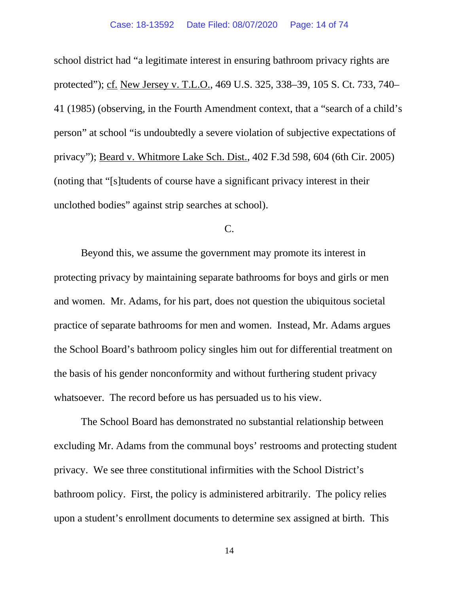school district had "a legitimate interest in ensuring bathroom privacy rights are protected"); cf. New Jersey v. T.L.O., 469 U.S. 325, 338–39, 105 S. Ct. 733, 740– 41 (1985) (observing, in the Fourth Amendment context, that a "search of a child's person" at school "is undoubtedly a severe violation of subjective expectations of privacy"); Beard v. Whitmore Lake Sch. Dist., 402 F.3d 598, 604 (6th Cir. 2005) (noting that "[s]tudents of course have a significant privacy interest in their unclothed bodies" against strip searches at school).

## C.

Beyond this, we assume the government may promote its interest in protecting privacy by maintaining separate bathrooms for boys and girls or men and women. Mr. Adams, for his part, does not question the ubiquitous societal practice of separate bathrooms for men and women. Instead, Mr. Adams argues the School Board's bathroom policy singles him out for differential treatment on the basis of his gender nonconformity and without furthering student privacy whatsoever. The record before us has persuaded us to his view.

The School Board has demonstrated no substantial relationship between excluding Mr. Adams from the communal boys' restrooms and protecting student privacy. We see three constitutional infirmities with the School District's bathroom policy. First, the policy is administered arbitrarily. The policy relies upon a student's enrollment documents to determine sex assigned at birth. This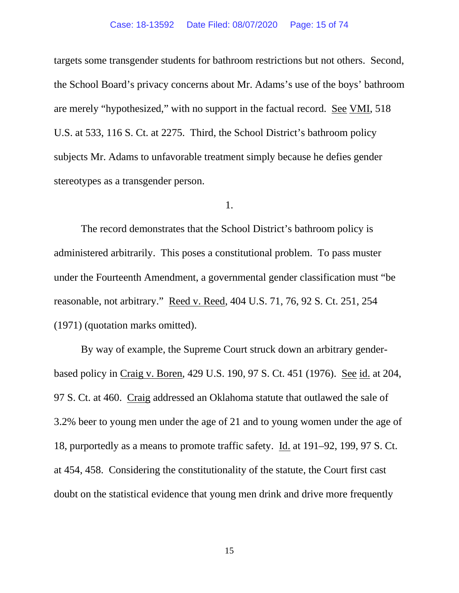#### Case: 18-13592 Date Filed: 08/07/2020 Page: 15 of 74

targets some transgender students for bathroom restrictions but not others. Second, the School Board's privacy concerns about Mr. Adams's use of the boys' bathroom are merely "hypothesized," with no support in the factual record. See VMI, 518 U.S. at 533, 116 S. Ct. at 2275. Third, the School District's bathroom policy subjects Mr. Adams to unfavorable treatment simply because he defies gender stereotypes as a transgender person.

#### 1.

The record demonstrates that the School District's bathroom policy is administered arbitrarily. This poses a constitutional problem. To pass muster under the Fourteenth Amendment, a governmental gender classification must "be reasonable, not arbitrary." Reed v. Reed, 404 U.S. 71, 76, 92 S. Ct. 251, 254 (1971) (quotation marks omitted).

By way of example, the Supreme Court struck down an arbitrary genderbased policy in Craig v. Boren, 429 U.S. 190, 97 S. Ct. 451 (1976). See id. at 204, 97 S. Ct. at 460. Craig addressed an Oklahoma statute that outlawed the sale of 3.2% beer to young men under the age of 21 and to young women under the age of 18, purportedly as a means to promote traffic safety. Id. at 191–92, 199, 97 S. Ct. at 454, 458. Considering the constitutionality of the statute, the Court first cast doubt on the statistical evidence that young men drink and drive more frequently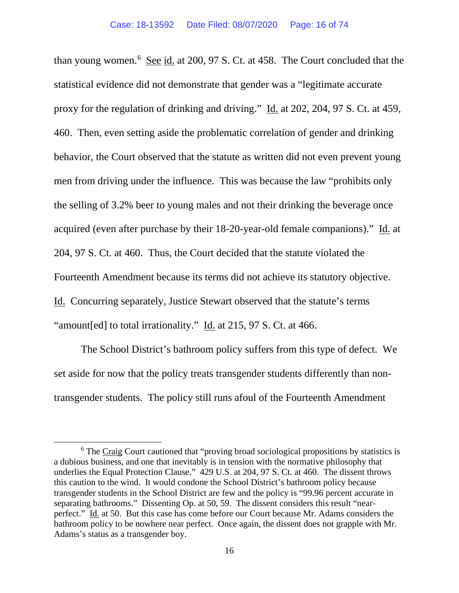than young women.<sup>[6](#page-44-0)</sup> See id. at 200, 97 S. Ct. at 458. The Court concluded that the statistical evidence did not demonstrate that gender was a "legitimate accurate proxy for the regulation of drinking and driving." Id. at 202, 204, 97 S. Ct. at 459, 460. Then, even setting aside the problematic correlation of gender and drinking behavior, the Court observed that the statute as written did not even prevent young men from driving under the influence. This was because the law "prohibits only the selling of 3.2% beer to young males and not their drinking the beverage once acquired (even after purchase by their 18-20-year-old female companions)." Id. at 204, 97 S. Ct. at 460. Thus, the Court decided that the statute violated the Fourteenth Amendment because its terms did not achieve its statutory objective. Id. Concurring separately, Justice Stewart observed that the statute's terms "amount [ed] to total irrationality." Id. at 215, 97 S. Ct. at 466.

The School District's bathroom policy suffers from this type of defect. We set aside for now that the policy treats transgender students differently than nontransgender students. The policy still runs afoul of the Fourteenth Amendment

<sup>&</sup>lt;sup>6</sup> The Craig Court cautioned that "proving broad sociological propositions by statistics is a dubious business, and one that inevitably is in tension with the normative philosophy that underlies the Equal Protection Clause." 429 U.S. at 204, 97 S. Ct. at 460. The dissent throws this caution to the wind. It would condone the School District's bathroom policy because transgender students in the School District are few and the policy is "99.96 percent accurate in separating bathrooms." Dissenting Op. at 50, 59. The dissent considers this result "nearperfect." Id. at 50. But this case has come before our Court because Mr. Adams considers the bathroom policy to be nowhere near perfect. Once again, the dissent does not grapple with Mr. Adams's status as a transgender boy.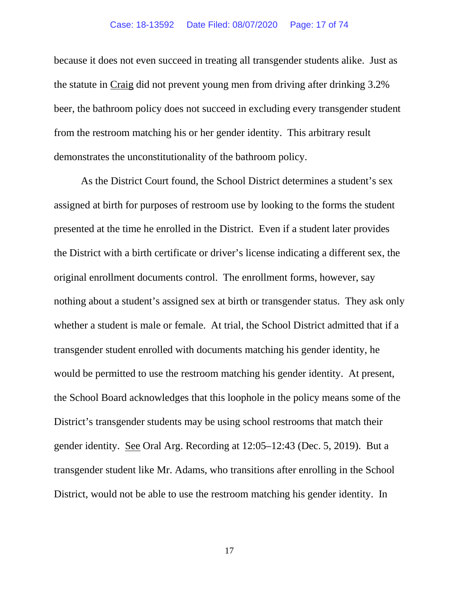because it does not even succeed in treating all transgender students alike. Just as the statute in Craig did not prevent young men from driving after drinking 3.2% beer, the bathroom policy does not succeed in excluding every transgender student from the restroom matching his or her gender identity. This arbitrary result demonstrates the unconstitutionality of the bathroom policy.

As the District Court found, the School District determines a student's sex assigned at birth for purposes of restroom use by looking to the forms the student presented at the time he enrolled in the District. Even if a student later provides the District with a birth certificate or driver's license indicating a different sex, the original enrollment documents control. The enrollment forms, however, say nothing about a student's assigned sex at birth or transgender status. They ask only whether a student is male or female. At trial, the School District admitted that if a transgender student enrolled with documents matching his gender identity, he would be permitted to use the restroom matching his gender identity. At present, the School Board acknowledges that this loophole in the policy means some of the District's transgender students may be using school restrooms that match their gender identity. See Oral Arg. Recording at 12:05–12:43 (Dec. 5, 2019). But a transgender student like Mr. Adams, who transitions after enrolling in the School District, would not be able to use the restroom matching his gender identity. In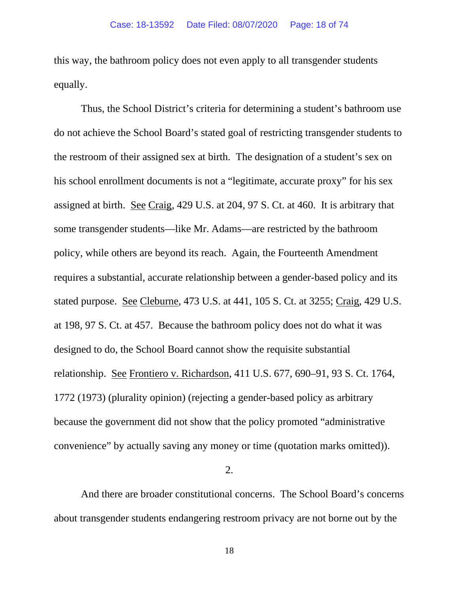this way, the bathroom policy does not even apply to all transgender students equally.

Thus, the School District's criteria for determining a student's bathroom use do not achieve the School Board's stated goal of restricting transgender students to the restroom of their assigned sex at birth. The designation of a student's sex on his school enrollment documents is not a "legitimate, accurate proxy" for his sex assigned at birth. See Craig, 429 U.S. at 204, 97 S. Ct. at 460. It is arbitrary that some transgender students—like Mr. Adams—are restricted by the bathroom policy, while others are beyond its reach. Again, the Fourteenth Amendment requires a substantial, accurate relationship between a gender-based policy and its stated purpose. See Cleburne, 473 U.S. at 441, 105 S. Ct. at 3255; Craig, 429 U.S. at 198, 97 S. Ct. at 457. Because the bathroom policy does not do what it was designed to do, the School Board cannot show the requisite substantial relationship. See Frontiero v. Richardson, 411 U.S. 677, 690–91, 93 S. Ct. 1764, 1772 (1973) (plurality opinion) (rejecting a gender-based policy as arbitrary because the government did not show that the policy promoted "administrative convenience" by actually saving any money or time (quotation marks omitted)).

2.

And there are broader constitutional concerns. The School Board's concerns about transgender students endangering restroom privacy are not borne out by the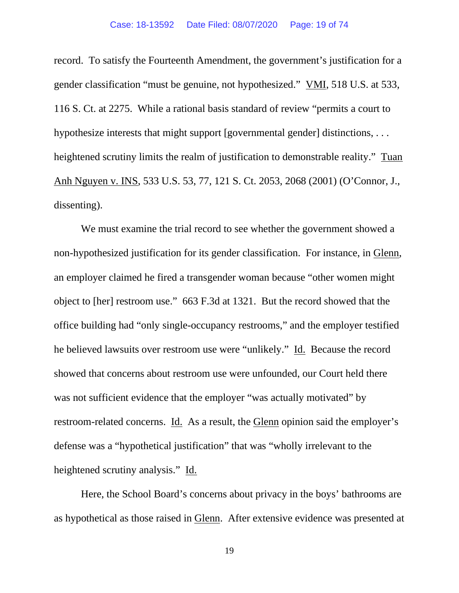record. To satisfy the Fourteenth Amendment, the government's justification for a gender classification "must be genuine, not hypothesized." VMI, 518 U.S. at 533, 116 S. Ct. at 2275. While a rational basis standard of review "permits a court to hypothesize interests that might support [governmental gender] distinctions, . . . heightened scrutiny limits the realm of justification to demonstrable reality." Tuan Anh Nguyen v. INS, 533 U.S. 53, 77, 121 S. Ct. 2053, 2068 (2001) (O'Connor, J., dissenting).

We must examine the trial record to see whether the government showed a non-hypothesized justification for its gender classification. For instance, in Glenn, an employer claimed he fired a transgender woman because "other women might object to [her] restroom use." 663 F.3d at 1321. But the record showed that the office building had "only single-occupancy restrooms," and the employer testified he believed lawsuits over restroom use were "unlikely." Id. Because the record showed that concerns about restroom use were unfounded, our Court held there was not sufficient evidence that the employer "was actually motivated" by restroom-related concerns. Id. As a result, the Glenn opinion said the employer's defense was a "hypothetical justification" that was "wholly irrelevant to the heightened scrutiny analysis." Id.

Here, the School Board's concerns about privacy in the boys' bathrooms are as hypothetical as those raised in Glenn. After extensive evidence was presented at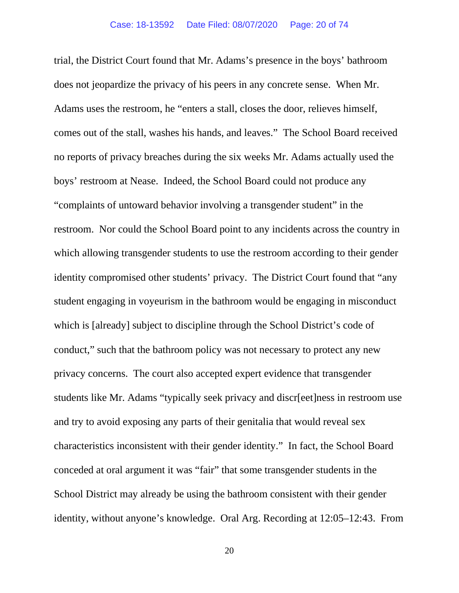trial, the District Court found that Mr. Adams's presence in the boys' bathroom does not jeopardize the privacy of his peers in any concrete sense. When Mr. Adams uses the restroom, he "enters a stall, closes the door, relieves himself, comes out of the stall, washes his hands, and leaves." The School Board received no reports of privacy breaches during the six weeks Mr. Adams actually used the boys' restroom at Nease. Indeed, the School Board could not produce any "complaints of untoward behavior involving a transgender student" in the restroom. Nor could the School Board point to any incidents across the country in which allowing transgender students to use the restroom according to their gender identity compromised other students' privacy. The District Court found that "any student engaging in voyeurism in the bathroom would be engaging in misconduct which is [already] subject to discipline through the School District's code of conduct," such that the bathroom policy was not necessary to protect any new privacy concerns. The court also accepted expert evidence that transgender students like Mr. Adams "typically seek privacy and discr[eet]ness in restroom use and try to avoid exposing any parts of their genitalia that would reveal sex characteristics inconsistent with their gender identity." In fact, the School Board conceded at oral argument it was "fair" that some transgender students in the School District may already be using the bathroom consistent with their gender identity, without anyone's knowledge. Oral Arg. Recording at 12:05–12:43. From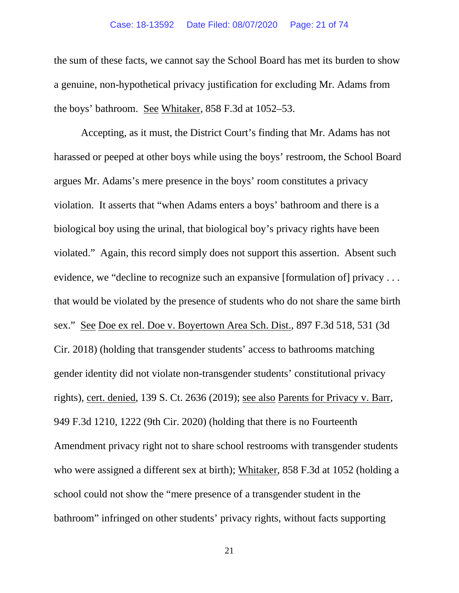### Case: 18-13592 Date Filed: 08/07/2020 Page: 21 of 74

the sum of these facts, we cannot say the School Board has met its burden to show a genuine, non-hypothetical privacy justification for excluding Mr. Adams from the boys' bathroom. See Whitaker, 858 F.3d at 1052–53.

Accepting, as it must, the District Court's finding that Mr. Adams has not harassed or peeped at other boys while using the boys' restroom, the School Board argues Mr. Adams's mere presence in the boys' room constitutes a privacy violation. It asserts that "when Adams enters a boys' bathroom and there is a biological boy using the urinal, that biological boy's privacy rights have been violated." Again, this record simply does not support this assertion. Absent such evidence, we "decline to recognize such an expansive [formulation of] privacy . . . that would be violated by the presence of students who do not share the same birth sex." See Doe ex rel. Doe v. Boyertown Area Sch. Dist., 897 F.3d 518, 531 (3d Cir. 2018) (holding that transgender students' access to bathrooms matching gender identity did not violate non-transgender students' constitutional privacy rights), cert. denied, 139 S. Ct. 2636 (2019); see also Parents for Privacy v. Barr, 949 F.3d 1210, 1222 (9th Cir. 2020) (holding that there is no Fourteenth Amendment privacy right not to share school restrooms with transgender students who were assigned a different sex at birth); Whitaker, 858 F.3d at 1052 (holding a school could not show the "mere presence of a transgender student in the bathroom" infringed on other students' privacy rights, without facts supporting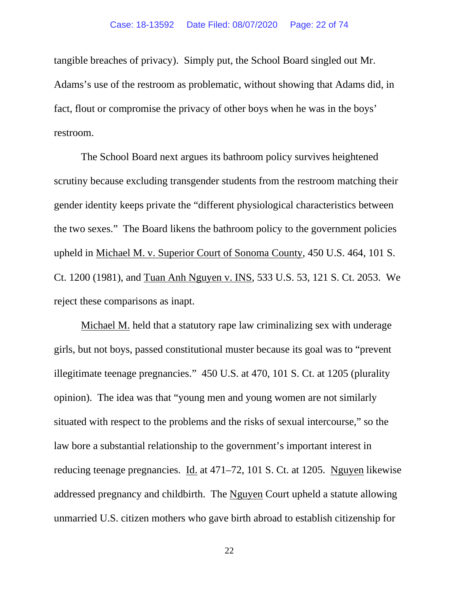tangible breaches of privacy). Simply put, the School Board singled out Mr. Adams's use of the restroom as problematic, without showing that Adams did, in fact, flout or compromise the privacy of other boys when he was in the boys' restroom.

The School Board next argues its bathroom policy survives heightened scrutiny because excluding transgender students from the restroom matching their gender identity keeps private the "different physiological characteristics between the two sexes." The Board likens the bathroom policy to the government policies upheld in Michael M. v. Superior Court of Sonoma County, 450 U.S. 464, 101 S. Ct. 1200 (1981), and Tuan Anh Nguyen v. INS, 533 U.S. 53, 121 S. Ct. 2053. We reject these comparisons as inapt.

Michael M. held that a statutory rape law criminalizing sex with underage girls, but not boys, passed constitutional muster because its goal was to "prevent illegitimate teenage pregnancies." 450 U.S. at 470, 101 S. Ct. at 1205 (plurality opinion). The idea was that "young men and young women are not similarly situated with respect to the problems and the risks of sexual intercourse," so the law bore a substantial relationship to the government's important interest in reducing teenage pregnancies. Id. at 471–72, 101 S. Ct. at 1205. Nguyen likewise addressed pregnancy and childbirth. The Nguyen Court upheld a statute allowing unmarried U.S. citizen mothers who gave birth abroad to establish citizenship for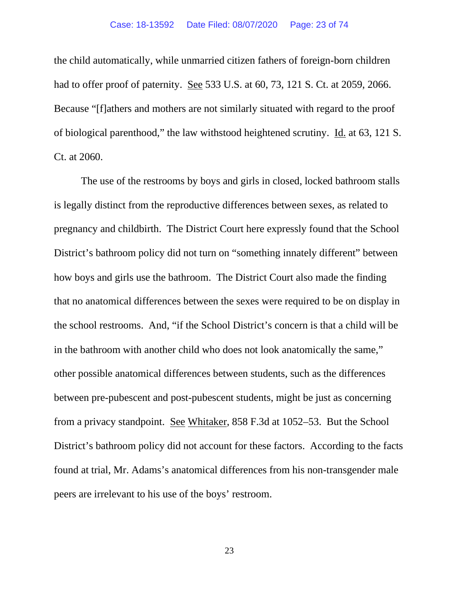the child automatically, while unmarried citizen fathers of foreign-born children had to offer proof of paternity. See 533 U.S. at 60, 73, 121 S. Ct. at 2059, 2066. Because "[f]athers and mothers are not similarly situated with regard to the proof of biological parenthood," the law withstood heightened scrutiny. Id. at 63, 121 S. Ct. at 2060.

The use of the restrooms by boys and girls in closed, locked bathroom stalls is legally distinct from the reproductive differences between sexes, as related to pregnancy and childbirth. The District Court here expressly found that the School District's bathroom policy did not turn on "something innately different" between how boys and girls use the bathroom. The District Court also made the finding that no anatomical differences between the sexes were required to be on display in the school restrooms. And, "if the School District's concern is that a child will be in the bathroom with another child who does not look anatomically the same," other possible anatomical differences between students, such as the differences between pre-pubescent and post-pubescent students, might be just as concerning from a privacy standpoint. See Whitaker, 858 F.3d at 1052–53. But the School District's bathroom policy did not account for these factors. According to the facts found at trial, Mr. Adams's anatomical differences from his non-transgender male peers are irrelevant to his use of the boys' restroom.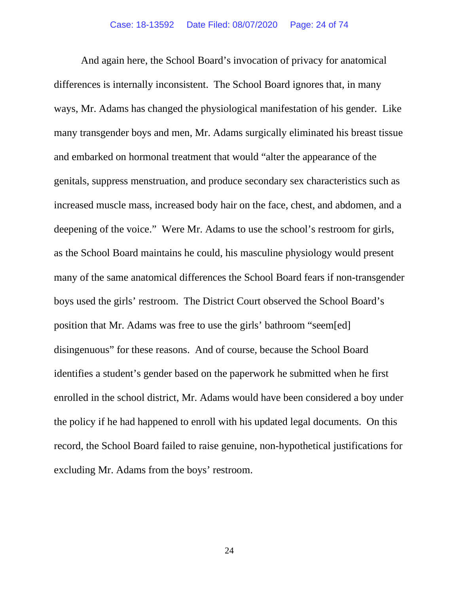And again here, the School Board's invocation of privacy for anatomical differences is internally inconsistent. The School Board ignores that, in many ways, Mr. Adams has changed the physiological manifestation of his gender. Like many transgender boys and men, Mr. Adams surgically eliminated his breast tissue and embarked on hormonal treatment that would "alter the appearance of the genitals, suppress menstruation, and produce secondary sex characteristics such as increased muscle mass, increased body hair on the face, chest, and abdomen, and a deepening of the voice." Were Mr. Adams to use the school's restroom for girls, as the School Board maintains he could, his masculine physiology would present many of the same anatomical differences the School Board fears if non-transgender boys used the girls' restroom. The District Court observed the School Board's position that Mr. Adams was free to use the girls' bathroom "seem[ed] disingenuous" for these reasons. And of course, because the School Board identifies a student's gender based on the paperwork he submitted when he first enrolled in the school district, Mr. Adams would have been considered a boy under the policy if he had happened to enroll with his updated legal documents. On this record, the School Board failed to raise genuine, non-hypothetical justifications for excluding Mr. Adams from the boys' restroom.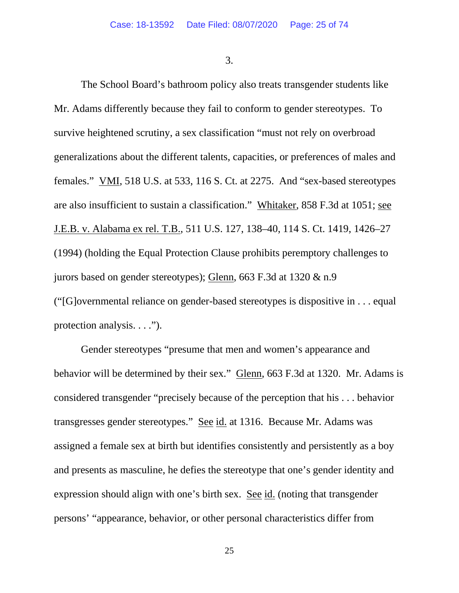3.

The School Board's bathroom policy also treats transgender students like Mr. Adams differently because they fail to conform to gender stereotypes. To survive heightened scrutiny, a sex classification "must not rely on overbroad generalizations about the different talents, capacities, or preferences of males and females." VMI, 518 U.S. at 533, 116 S. Ct. at 2275. And "sex-based stereotypes are also insufficient to sustain a classification." Whitaker, 858 F.3d at 1051; see J.E.B. v. Alabama ex rel. T.B., 511 U.S. 127, 138–40, 114 S. Ct. 1419, 1426–27 (1994) (holding the Equal Protection Clause prohibits peremptory challenges to jurors based on gender stereotypes); Glenn, 663 F.3d at 1320 & n.9 ("[G]overnmental reliance on gender-based stereotypes is dispositive in . . . equal protection analysis. . . .").

Gender stereotypes "presume that men and women's appearance and behavior will be determined by their sex." Glenn, 663 F.3d at 1320. Mr. Adams is considered transgender "precisely because of the perception that his . . . behavior transgresses gender stereotypes." See id. at 1316. Because Mr. Adams was assigned a female sex at birth but identifies consistently and persistently as a boy and presents as masculine, he defies the stereotype that one's gender identity and expression should align with one's birth sex. See id. (noting that transgender persons' "appearance, behavior, or other personal characteristics differ from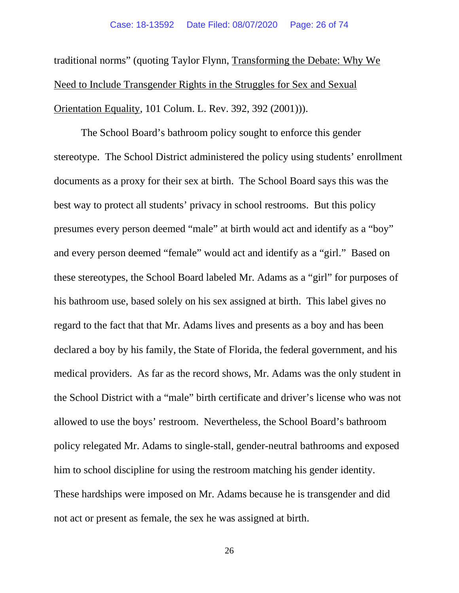traditional norms" (quoting Taylor Flynn, Transforming the Debate: Why We Need to Include Transgender Rights in the Struggles for Sex and Sexual Orientation Equality, 101 Colum. L. Rev. 392, 392 (2001))).

The School Board's bathroom policy sought to enforce this gender stereotype. The School District administered the policy using students' enrollment documents as a proxy for their sex at birth. The School Board says this was the best way to protect all students' privacy in school restrooms. But this policy presumes every person deemed "male" at birth would act and identify as a "boy" and every person deemed "female" would act and identify as a "girl." Based on these stereotypes, the School Board labeled Mr. Adams as a "girl" for purposes of his bathroom use, based solely on his sex assigned at birth. This label gives no regard to the fact that that Mr. Adams lives and presents as a boy and has been declared a boy by his family, the State of Florida, the federal government, and his medical providers. As far as the record shows, Mr. Adams was the only student in the School District with a "male" birth certificate and driver's license who was not allowed to use the boys' restroom. Nevertheless, the School Board's bathroom policy relegated Mr. Adams to single-stall, gender-neutral bathrooms and exposed him to school discipline for using the restroom matching his gender identity. These hardships were imposed on Mr. Adams because he is transgender and did not act or present as female, the sex he was assigned at birth.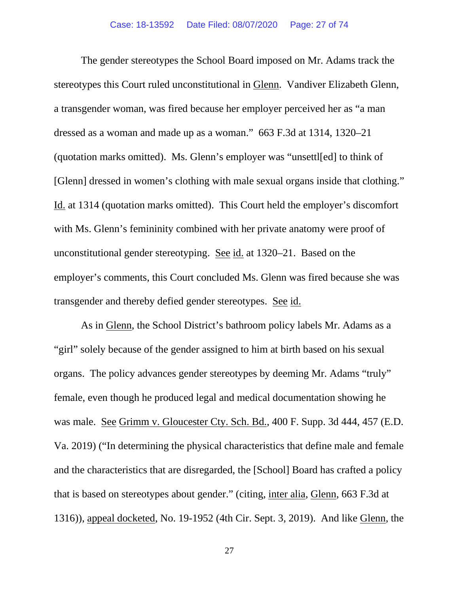The gender stereotypes the School Board imposed on Mr. Adams track the stereotypes this Court ruled unconstitutional in Glenn. Vandiver Elizabeth Glenn, a transgender woman, was fired because her employer perceived her as "a man dressed as a woman and made up as a woman." 663 F.3d at 1314, 1320–21 (quotation marks omitted). Ms. Glenn's employer was "unsettl[ed] to think of [Glenn] dressed in women's clothing with male sexual organs inside that clothing." Id. at 1314 (quotation marks omitted). This Court held the employer's discomfort with Ms. Glenn's femininity combined with her private anatomy were proof of unconstitutional gender stereotyping. See id. at 1320–21. Based on the employer's comments, this Court concluded Ms. Glenn was fired because she was transgender and thereby defied gender stereotypes. See id.

As in Glenn, the School District's bathroom policy labels Mr. Adams as a "girl" solely because of the gender assigned to him at birth based on his sexual organs. The policy advances gender stereotypes by deeming Mr. Adams "truly" female, even though he produced legal and medical documentation showing he was male. See Grimm v. Gloucester Cty. Sch. Bd., 400 F. Supp. 3d 444, 457 (E.D. Va. 2019) ("In determining the physical characteristics that define male and female and the characteristics that are disregarded, the [School] Board has crafted a policy that is based on stereotypes about gender." (citing, inter alia, Glenn, 663 F.3d at 1316)), appeal docketed, No. 19-1952 (4th Cir. Sept. 3, 2019). And like Glenn, the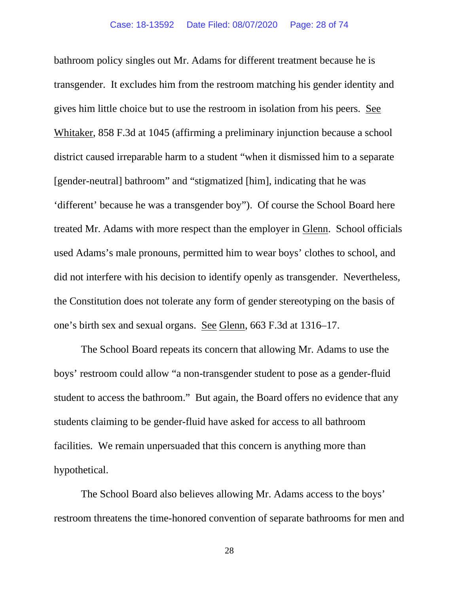bathroom policy singles out Mr. Adams for different treatment because he is transgender. It excludes him from the restroom matching his gender identity and gives him little choice but to use the restroom in isolation from his peers. See Whitaker, 858 F.3d at 1045 (affirming a preliminary injunction because a school district caused irreparable harm to a student "when it dismissed him to a separate [gender-neutral] bathroom" and "stigmatized [him], indicating that he was 'different' because he was a transgender boy"). Of course the School Board here treated Mr. Adams with more respect than the employer in Glenn. School officials used Adams's male pronouns, permitted him to wear boys' clothes to school, and did not interfere with his decision to identify openly as transgender. Nevertheless, the Constitution does not tolerate any form of gender stereotyping on the basis of one's birth sex and sexual organs. See Glenn, 663 F.3d at 1316–17.

The School Board repeats its concern that allowing Mr. Adams to use the boys' restroom could allow "a non-transgender student to pose as a gender-fluid student to access the bathroom." But again, the Board offers no evidence that any students claiming to be gender-fluid have asked for access to all bathroom facilities. We remain unpersuaded that this concern is anything more than hypothetical.

The School Board also believes allowing Mr. Adams access to the boys' restroom threatens the time-honored convention of separate bathrooms for men and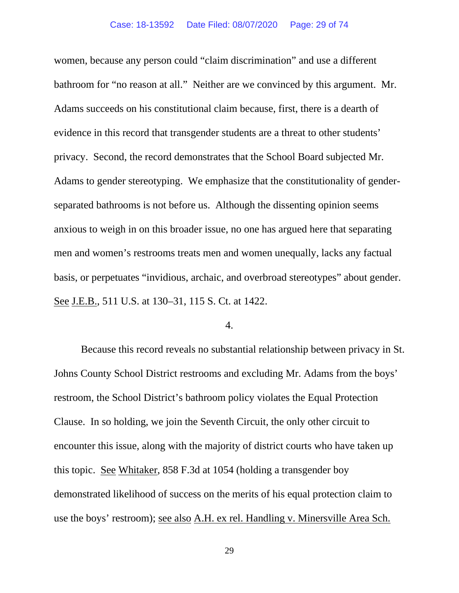women, because any person could "claim discrimination" and use a different bathroom for "no reason at all." Neither are we convinced by this argument. Mr. Adams succeeds on his constitutional claim because, first, there is a dearth of evidence in this record that transgender students are a threat to other students' privacy. Second, the record demonstrates that the School Board subjected Mr. Adams to gender stereotyping. We emphasize that the constitutionality of genderseparated bathrooms is not before us. Although the dissenting opinion seems anxious to weigh in on this broader issue, no one has argued here that separating men and women's restrooms treats men and women unequally, lacks any factual basis, or perpetuates "invidious, archaic, and overbroad stereotypes" about gender. See J.E.B., 511 U.S. at 130–31, 115 S. Ct. at 1422.

4.

Because this record reveals no substantial relationship between privacy in St. Johns County School District restrooms and excluding Mr. Adams from the boys' restroom, the School District's bathroom policy violates the Equal Protection Clause. In so holding, we join the Seventh Circuit, the only other circuit to encounter this issue, along with the majority of district courts who have taken up this topic. See Whitaker, 858 F.3d at 1054 (holding a transgender boy demonstrated likelihood of success on the merits of his equal protection claim to use the boys' restroom); see also A.H. ex rel. Handling v. Minersville Area Sch.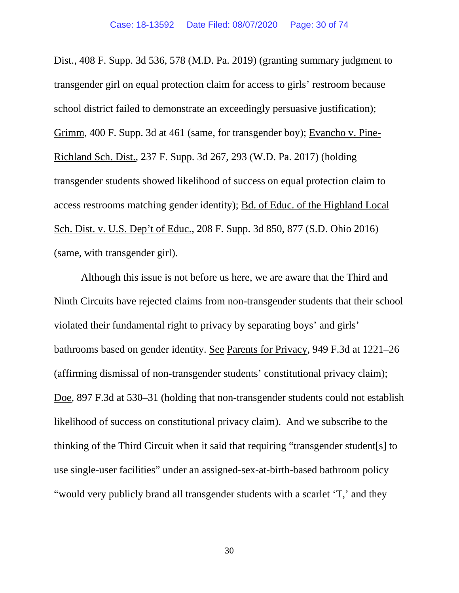Dist., 408 F. Supp. 3d 536, 578 (M.D. Pa. 2019) (granting summary judgment to transgender girl on equal protection claim for access to girls' restroom because school district failed to demonstrate an exceedingly persuasive justification); Grimm, 400 F. Supp. 3d at 461 (same, for transgender boy); Evancho v. Pine-Richland Sch. Dist., 237 F. Supp. 3d 267, 293 (W.D. Pa. 2017) (holding transgender students showed likelihood of success on equal protection claim to access restrooms matching gender identity); Bd. of Educ. of the Highland Local Sch. Dist. v. U.S. Dep't of Educ., 208 F. Supp. 3d 850, 877 (S.D. Ohio 2016) (same, with transgender girl).

Although this issue is not before us here, we are aware that the Third and Ninth Circuits have rejected claims from non-transgender students that their school violated their fundamental right to privacy by separating boys' and girls' bathrooms based on gender identity. See Parents for Privacy, 949 F.3d at 1221–26 (affirming dismissal of non-transgender students' constitutional privacy claim); Doe, 897 F.3d at 530–31 (holding that non-transgender students could not establish likelihood of success on constitutional privacy claim). And we subscribe to the thinking of the Third Circuit when it said that requiring "transgender student[s] to use single-user facilities" under an assigned-sex-at-birth-based bathroom policy "would very publicly brand all transgender students with a scarlet 'T,' and they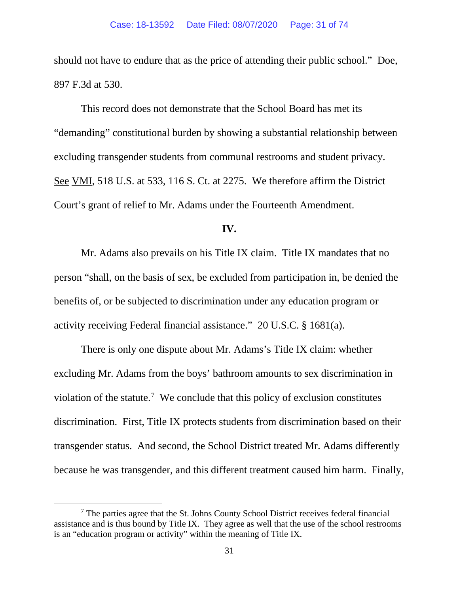should not have to endure that as the price of attending their public school." Doe, 897 F.3d at 530.

This record does not demonstrate that the School Board has met its "demanding" constitutional burden by showing a substantial relationship between excluding transgender students from communal restrooms and student privacy. See VMI, 518 U.S. at 533, 116 S. Ct. at 2275. We therefore affirm the District Court's grant of relief to Mr. Adams under the Fourteenth Amendment.

## **IV.**

Mr. Adams also prevails on his Title IX claim. Title IX mandates that no person "shall, on the basis of sex, be excluded from participation in, be denied the benefits of, or be subjected to discrimination under any education program or activity receiving Federal financial assistance." 20 U.S.C. § 1681(a).

There is only one dispute about Mr. Adams's Title IX claim: whether excluding Mr. Adams from the boys' bathroom amounts to sex discrimination in violation of the statute.<sup>[7](#page-44-0)</sup> We conclude that this policy of exclusion constitutes discrimination. First, Title IX protects students from discrimination based on their transgender status. And second, the School District treated Mr. Adams differently because he was transgender, and this different treatment caused him harm. Finally,

<sup>7</sup> The parties agree that the St. Johns County School District receives federal financial assistance and is thus bound by Title IX. They agree as well that the use of the school restrooms is an "education program or activity" within the meaning of Title IX.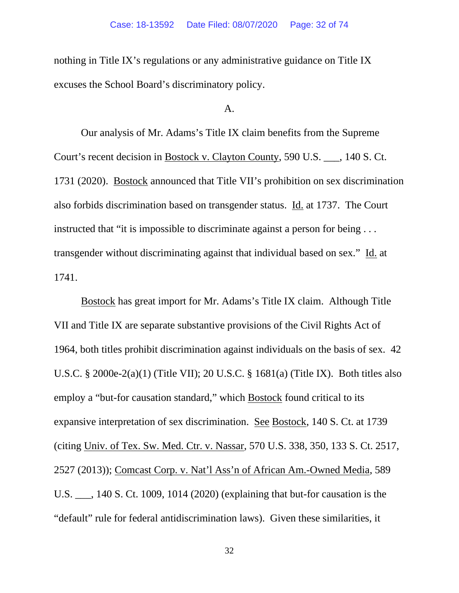nothing in Title IX's regulations or any administrative guidance on Title IX excuses the School Board's discriminatory policy.

## A.

Our analysis of Mr. Adams's Title IX claim benefits from the Supreme Court's recent decision in Bostock v. Clayton County, 590 U.S. \_\_\_, 140 S. Ct. 1731 (2020). Bostock announced that Title VII's prohibition on sex discrimination also forbids discrimination based on transgender status. Id. at 1737. The Court instructed that "it is impossible to discriminate against a person for being . . . transgender without discriminating against that individual based on sex." Id. at 1741.

Bostock has great import for Mr. Adams's Title IX claim. Although Title VII and Title IX are separate substantive provisions of the Civil Rights Act of 1964, both titles prohibit discrimination against individuals on the basis of sex. 42 U.S.C. § 2000e-2(a)(1) (Title VII); 20 U.S.C. § 1681(a) (Title IX). Both titles also employ a "but-for causation standard," which Bostock found critical to its expansive interpretation of sex discrimination. See Bostock, 140 S. Ct. at 1739 (citing Univ. of Tex. Sw. Med. Ctr. v. Nassar, 570 U.S. 338, 350, 133 S. Ct. 2517, 2527 (2013)); Comcast Corp. v. Nat'l Ass'n of African Am.-Owned Media, 589 U.S. \_\_\_, 140 S. Ct. 1009, 1014 (2020) (explaining that but-for causation is the "default" rule for federal antidiscrimination laws). Given these similarities, it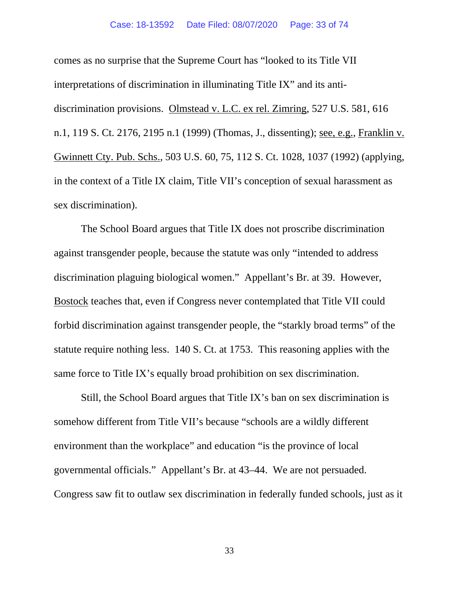#### Case: 18-13592 Date Filed: 08/07/2020 Page: 33 of 74

comes as no surprise that the Supreme Court has "looked to its Title VII interpretations of discrimination in illuminating Title IX" and its antidiscrimination provisions. Olmstead v. L.C. ex rel. Zimring, 527 U.S. 581, 616 n.1, 119 S. Ct. 2176, 2195 n.1 (1999) (Thomas, J., dissenting); see, e.g., Franklin v. Gwinnett Cty. Pub. Schs., 503 U.S. 60, 75, 112 S. Ct. 1028, 1037 (1992) (applying, in the context of a Title IX claim, Title VII's conception of sexual harassment as sex discrimination).

The School Board argues that Title IX does not proscribe discrimination against transgender people, because the statute was only "intended to address discrimination plaguing biological women." Appellant's Br. at 39. However, Bostock teaches that, even if Congress never contemplated that Title VII could forbid discrimination against transgender people, the "starkly broad terms" of the statute require nothing less. 140 S. Ct. at 1753. This reasoning applies with the same force to Title IX's equally broad prohibition on sex discrimination.

Still, the School Board argues that Title IX's ban on sex discrimination is somehow different from Title VII's because "schools are a wildly different environment than the workplace" and education "is the province of local governmental officials." Appellant's Br. at 43–44. We are not persuaded. Congress saw fit to outlaw sex discrimination in federally funded schools, just as it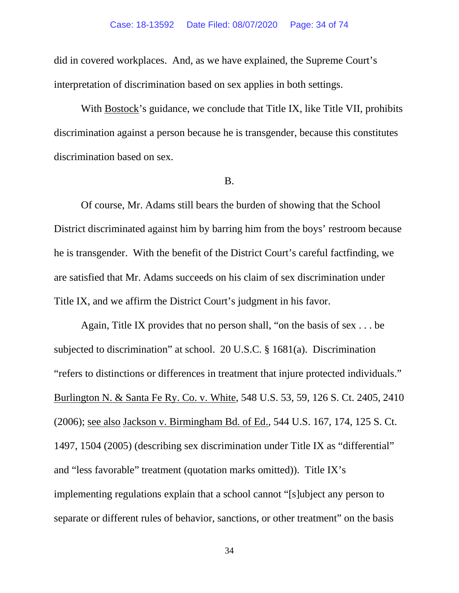did in covered workplaces. And, as we have explained, the Supreme Court's interpretation of discrimination based on sex applies in both settings.

With Bostock's guidance, we conclude that Title IX, like Title VII, prohibits discrimination against a person because he is transgender, because this constitutes discrimination based on sex.

#### B.

Of course, Mr. Adams still bears the burden of showing that the School District discriminated against him by barring him from the boys' restroom because he is transgender. With the benefit of the District Court's careful factfinding, we are satisfied that Mr. Adams succeeds on his claim of sex discrimination under Title IX, and we affirm the District Court's judgment in his favor.

Again, Title IX provides that no person shall, "on the basis of sex . . . be subjected to discrimination" at school. 20 U.S.C. § 1681(a). Discrimination "refers to distinctions or differences in treatment that injure protected individuals." Burlington N. & Santa Fe Ry. Co. v. White, 548 U.S. 53, 59, 126 S. Ct. 2405, 2410 (2006); see also Jackson v. Birmingham Bd. of Ed., 544 U.S. 167, 174, 125 S. Ct. 1497, 1504 (2005) (describing sex discrimination under Title IX as "differential" and "less favorable" treatment (quotation marks omitted)). Title IX's implementing regulations explain that a school cannot "[s]ubject any person to separate or different rules of behavior, sanctions, or other treatment" on the basis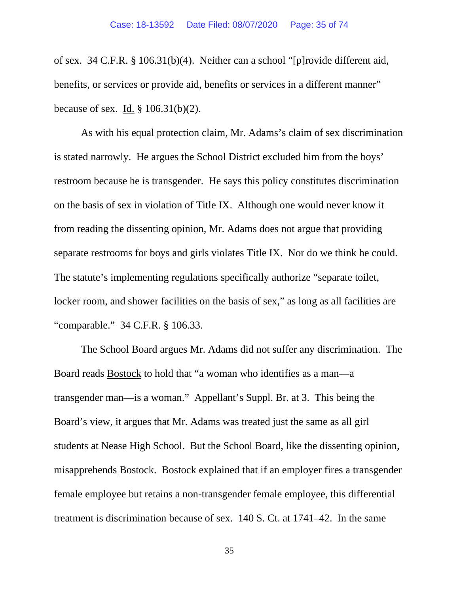of sex. 34 C.F.R. § 106.31(b)(4). Neither can a school "[p]rovide different aid, benefits, or services or provide aid, benefits or services in a different manner" because of sex. Id. § 106.31(b)(2).

As with his equal protection claim, Mr. Adams's claim of sex discrimination is stated narrowly. He argues the School District excluded him from the boys' restroom because he is transgender. He says this policy constitutes discrimination on the basis of sex in violation of Title IX. Although one would never know it from reading the dissenting opinion, Mr. Adams does not argue that providing separate restrooms for boys and girls violates Title IX. Nor do we think he could. The statute's implementing regulations specifically authorize "separate toilet, locker room, and shower facilities on the basis of sex," as long as all facilities are "comparable." 34 C.F.R. § 106.33.

The School Board argues Mr. Adams did not suffer any discrimination. The Board reads Bostock to hold that "a woman who identifies as a man—a transgender man—is a woman." Appellant's Suppl. Br. at 3. This being the Board's view, it argues that Mr. Adams was treated just the same as all girl students at Nease High School. But the School Board, like the dissenting opinion, misapprehends Bostock. Bostock explained that if an employer fires a transgender female employee but retains a non-transgender female employee, this differential treatment is discrimination because of sex. 140 S. Ct. at 1741–42. In the same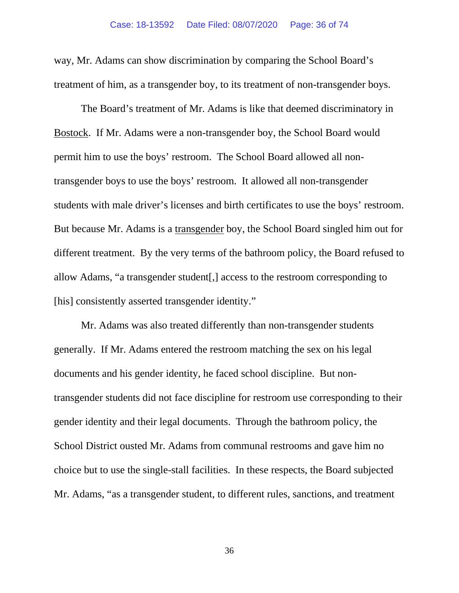way, Mr. Adams can show discrimination by comparing the School Board's treatment of him, as a transgender boy, to its treatment of non-transgender boys.

The Board's treatment of Mr. Adams is like that deemed discriminatory in Bostock. If Mr. Adams were a non-transgender boy, the School Board would permit him to use the boys' restroom. The School Board allowed all nontransgender boys to use the boys' restroom. It allowed all non-transgender students with male driver's licenses and birth certificates to use the boys' restroom. But because Mr. Adams is a transgender boy, the School Board singled him out for different treatment. By the very terms of the bathroom policy, the Board refused to allow Adams, "a transgender student[,] access to the restroom corresponding to [his] consistently asserted transgender identity."

Mr. Adams was also treated differently than non-transgender students generally. If Mr. Adams entered the restroom matching the sex on his legal documents and his gender identity, he faced school discipline. But nontransgender students did not face discipline for restroom use corresponding to their gender identity and their legal documents. Through the bathroom policy, the School District ousted Mr. Adams from communal restrooms and gave him no choice but to use the single-stall facilities. In these respects, the Board subjected Mr. Adams, "as a transgender student, to different rules, sanctions, and treatment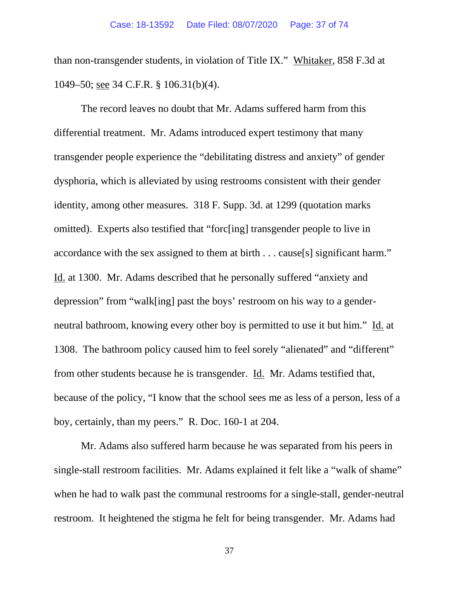than non-transgender students, in violation of Title IX." Whitaker, 858 F.3d at 1049–50; see 34 C.F.R. § 106.31(b)(4).

The record leaves no doubt that Mr. Adams suffered harm from this differential treatment. Mr. Adams introduced expert testimony that many transgender people experience the "debilitating distress and anxiety" of gender dysphoria, which is alleviated by using restrooms consistent with their gender identity, among other measures. 318 F. Supp. 3d. at 1299 (quotation marks omitted). Experts also testified that "forc[ing] transgender people to live in accordance with the sex assigned to them at birth . . . cause[s] significant harm." Id. at 1300. Mr. Adams described that he personally suffered "anxiety and depression" from "walk[ing] past the boys' restroom on his way to a genderneutral bathroom, knowing every other boy is permitted to use it but him." Id. at 1308. The bathroom policy caused him to feel sorely "alienated" and "different" from other students because he is transgender. Id. Mr. Adams testified that, because of the policy, "I know that the school sees me as less of a person, less of a boy, certainly, than my peers." R. Doc. 160-1 at 204.

Mr. Adams also suffered harm because he was separated from his peers in single-stall restroom facilities. Mr. Adams explained it felt like a "walk of shame" when he had to walk past the communal restrooms for a single-stall, gender-neutral restroom. It heightened the stigma he felt for being transgender. Mr. Adams had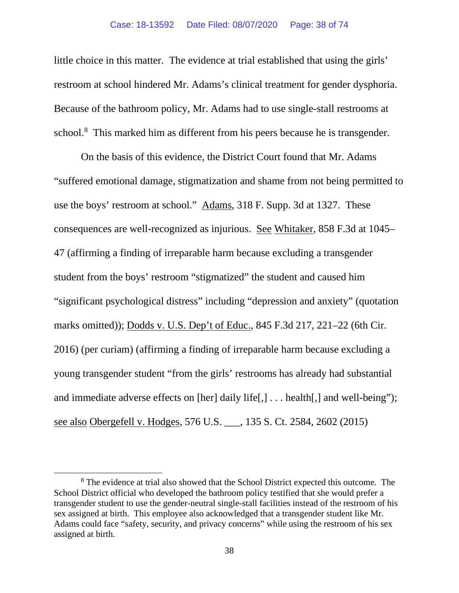little choice in this matter. The evidence at trial established that using the girls' restroom at school hindered Mr. Adams's clinical treatment for gender dysphoria. Because of the bathroom policy, Mr. Adams had to use single-stall restrooms at school.<sup>[8](#page-44-0)</sup> This marked him as different from his peers because he is transgender.

On the basis of this evidence, the District Court found that Mr. Adams "suffered emotional damage, stigmatization and shame from not being permitted to use the boys' restroom at school." Adams, 318 F. Supp. 3d at 1327. These consequences are well-recognized as injurious. See Whitaker, 858 F.3d at 1045– 47 (affirming a finding of irreparable harm because excluding a transgender student from the boys' restroom "stigmatized" the student and caused him "significant psychological distress" including "depression and anxiety" (quotation marks omitted)); Dodds v. U.S. Dep't of Educ., 845 F.3d 217, 221–22 (6th Cir. 2016) (per curiam) (affirming a finding of irreparable harm because excluding a young transgender student "from the girls' restrooms has already had substantial and immediate adverse effects on [her] daily life[,] . . . health[,] and well-being"); see also Obergefell v. Hodges, 576 U.S. \_\_\_, 135 S. Ct. 2584, 2602 (2015)

<sup>&</sup>lt;sup>8</sup> The evidence at trial also showed that the School District expected this outcome. The School District official who developed the bathroom policy testified that she would prefer a transgender student to use the gender-neutral single-stall facilities instead of the restroom of his sex assigned at birth. This employee also acknowledged that a transgender student like Mr. Adams could face "safety, security, and privacy concerns" while using the restroom of his sex assigned at birth.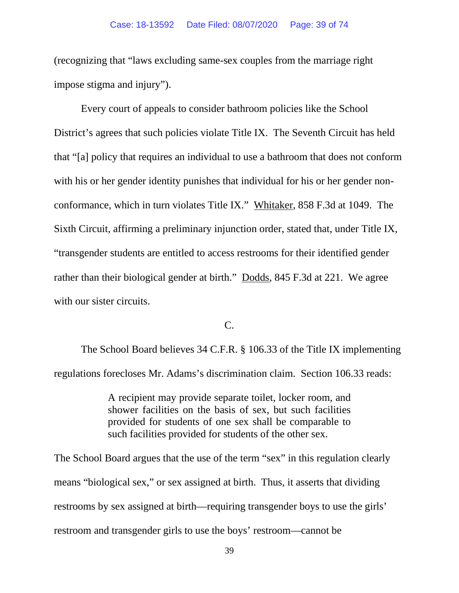(recognizing that "laws excluding same-sex couples from the marriage right impose stigma and injury").

Every court of appeals to consider bathroom policies like the School District's agrees that such policies violate Title IX. The Seventh Circuit has held that "[a] policy that requires an individual to use a bathroom that does not conform with his or her gender identity punishes that individual for his or her gender nonconformance, which in turn violates Title IX." Whitaker, 858 F.3d at 1049. The Sixth Circuit, affirming a preliminary injunction order, stated that, under Title IX, "transgender students are entitled to access restrooms for their identified gender rather than their biological gender at birth." Dodds, 845 F.3d at 221. We agree with our sister circuits.

C.

The School Board believes 34 C.F.R. § 106.33 of the Title IX implementing regulations forecloses Mr. Adams's discrimination claim. Section 106.33 reads:

> A recipient may provide separate toilet, locker room, and shower facilities on the basis of sex, but such facilities provided for students of one sex shall be comparable to such facilities provided for students of the other sex.

The School Board argues that the use of the term "sex" in this regulation clearly means "biological sex," or sex assigned at birth. Thus, it asserts that dividing restrooms by sex assigned at birth—requiring transgender boys to use the girls' restroom and transgender girls to use the boys' restroom—cannot be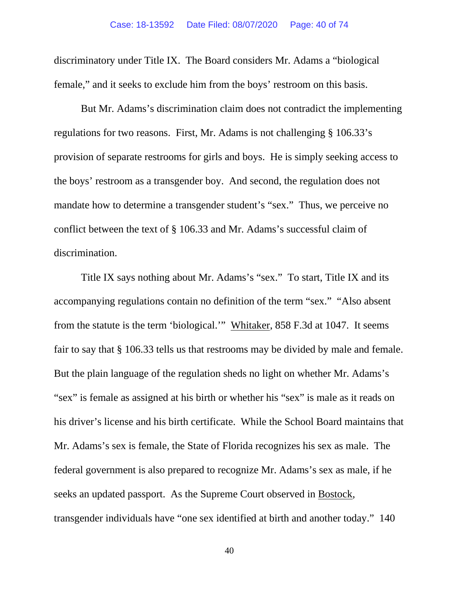discriminatory under Title IX. The Board considers Mr. Adams a "biological female," and it seeks to exclude him from the boys' restroom on this basis.

But Mr. Adams's discrimination claim does not contradict the implementing regulations for two reasons. First, Mr. Adams is not challenging § 106.33's provision of separate restrooms for girls and boys. He is simply seeking access to the boys' restroom as a transgender boy. And second, the regulation does not mandate how to determine a transgender student's "sex." Thus, we perceive no conflict between the text of § 106.33 and Mr. Adams's successful claim of discrimination.

Title IX says nothing about Mr. Adams's "sex." To start, Title IX and its accompanying regulations contain no definition of the term "sex." "Also absent from the statute is the term 'biological.'" Whitaker, 858 F.3d at 1047. It seems fair to say that § 106.33 tells us that restrooms may be divided by male and female. But the plain language of the regulation sheds no light on whether Mr. Adams's "sex" is female as assigned at his birth or whether his "sex" is male as it reads on his driver's license and his birth certificate. While the School Board maintains that Mr. Adams's sex is female, the State of Florida recognizes his sex as male. The federal government is also prepared to recognize Mr. Adams's sex as male, if he seeks an updated passport. As the Supreme Court observed in Bostock, transgender individuals have "one sex identified at birth and another today." 140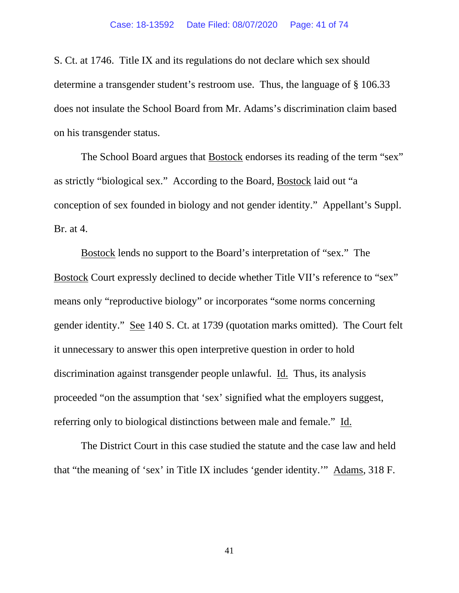S. Ct. at 1746. Title IX and its regulations do not declare which sex should determine a transgender student's restroom use. Thus, the language of § 106.33 does not insulate the School Board from Mr. Adams's discrimination claim based on his transgender status.

The School Board argues that Bostock endorses its reading of the term "sex" as strictly "biological sex." According to the Board, Bostock laid out "a conception of sex founded in biology and not gender identity." Appellant's Suppl. Br. at 4.

Bostock lends no support to the Board's interpretation of "sex." The Bostock Court expressly declined to decide whether Title VII's reference to "sex" means only "reproductive biology" or incorporates "some norms concerning gender identity." See 140 S. Ct. at 1739 (quotation marks omitted). The Court felt it unnecessary to answer this open interpretive question in order to hold discrimination against transgender people unlawful. Id. Thus, its analysis proceeded "on the assumption that 'sex' signified what the employers suggest, referring only to biological distinctions between male and female." Id.

The District Court in this case studied the statute and the case law and held that "the meaning of 'sex' in Title IX includes 'gender identity.'" Adams, 318 F.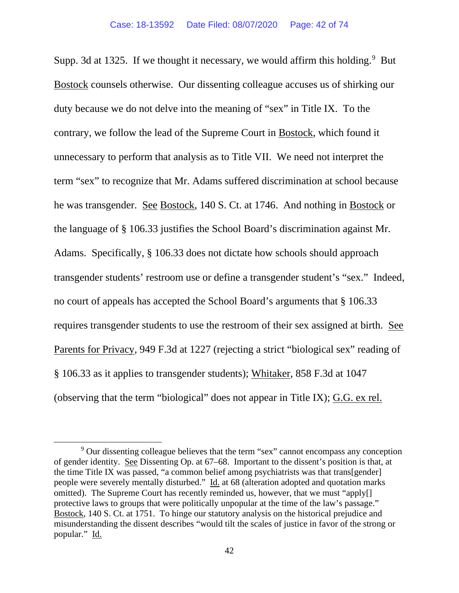Supp. 3d at 1325. If we thought it necessary, we would affirm this holding.  $9$  But Bostock counsels otherwise. Our dissenting colleague accuses us of shirking our duty because we do not delve into the meaning of "sex" in Title IX. To the contrary, we follow the lead of the Supreme Court in Bostock, which found it unnecessary to perform that analysis as to Title VII. We need not interpret the term "sex" to recognize that Mr. Adams suffered discrimination at school because he was transgender. See Bostock, 140 S. Ct. at 1746. And nothing in Bostock or the language of § 106.33 justifies the School Board's discrimination against Mr. Adams. Specifically, § 106.33 does not dictate how schools should approach transgender students' restroom use or define a transgender student's "sex." Indeed, no court of appeals has accepted the School Board's arguments that § 106.33 requires transgender students to use the restroom of their sex assigned at birth. See Parents for Privacy, 949 F.3d at 1227 (rejecting a strict "biological sex" reading of § 106.33 as it applies to transgender students); Whitaker, 858 F.3d at 1047 (observing that the term "biological" does not appear in Title IX); G.G. ex rel.

<sup>&</sup>lt;sup>9</sup> Our dissenting colleague believes that the term "sex" cannot encompass any conception of gender identity. See Dissenting Op. at 67–68. Important to the dissent's position is that, at the time Title IX was passed, "a common belief among psychiatrists was that trans[gender] people were severely mentally disturbed." Id. at 68 (alteration adopted and quotation marks omitted). The Supreme Court has recently reminded us, however, that we must "apply[] protective laws to groups that were politically unpopular at the time of the law's passage." Bostock, 140 S. Ct. at 1751. To hinge our statutory analysis on the historical prejudice and misunderstanding the dissent describes "would tilt the scales of justice in favor of the strong or popular." Id.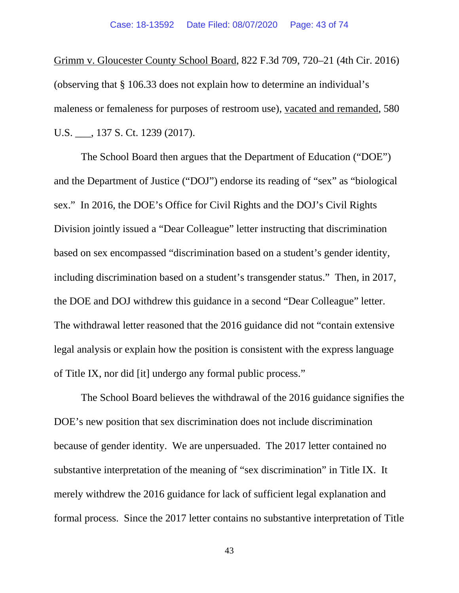Grimm v. Gloucester County School Board, 822 F.3d 709, 720–21 (4th Cir. 2016) (observing that § 106.33 does not explain how to determine an individual's maleness or femaleness for purposes of restroom use), vacated and remanded, 580 U.S. \_\_\_, 137 S. Ct. 1239 (2017).

The School Board then argues that the Department of Education ("DOE") and the Department of Justice ("DOJ") endorse its reading of "sex" as "biological sex." In 2016, the DOE's Office for Civil Rights and the DOJ's Civil Rights Division jointly issued a "Dear Colleague" letter instructing that discrimination based on sex encompassed "discrimination based on a student's gender identity, including discrimination based on a student's transgender status." Then, in 2017, the DOE and DOJ withdrew this guidance in a second "Dear Colleague" letter. The withdrawal letter reasoned that the 2016 guidance did not "contain extensive legal analysis or explain how the position is consistent with the express language of Title IX, nor did [it] undergo any formal public process."

The School Board believes the withdrawal of the 2016 guidance signifies the DOE's new position that sex discrimination does not include discrimination because of gender identity. We are unpersuaded. The 2017 letter contained no substantive interpretation of the meaning of "sex discrimination" in Title IX. It merely withdrew the 2016 guidance for lack of sufficient legal explanation and formal process. Since the 2017 letter contains no substantive interpretation of Title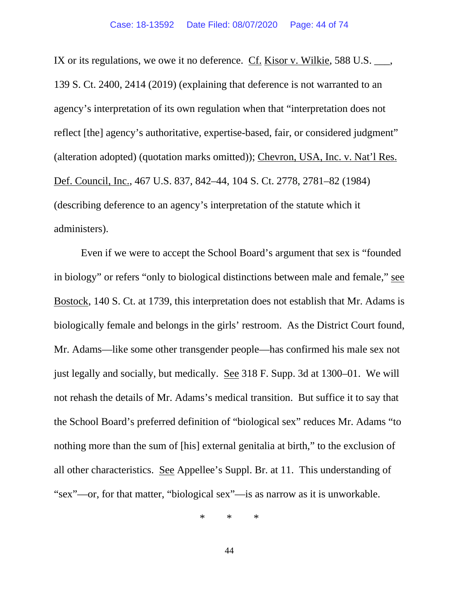IX or its regulations, we owe it no deference. Cf. Kisor v. Wilkie, 588 U.S. \_\_\_, 139 S. Ct. 2400, 2414 (2019) (explaining that deference is not warranted to an agency's interpretation of its own regulation when that "interpretation does not reflect [the] agency's authoritative, expertise-based, fair, or considered judgment" (alteration adopted) (quotation marks omitted)); Chevron, USA, Inc. v. Nat'l Res. Def. Council, Inc., 467 U.S. 837, 842–44, 104 S. Ct. 2778, 2781–82 (1984) (describing deference to an agency's interpretation of the statute which it administers).

Even if we were to accept the School Board's argument that sex is "founded in biology" or refers "only to biological distinctions between male and female," see Bostock, 140 S. Ct. at 1739, this interpretation does not establish that Mr. Adams is biologically female and belongs in the girls' restroom. As the District Court found, Mr. Adams—like some other transgender people—has confirmed his male sex not just legally and socially, but medically. See 318 F. Supp. 3d at 1300–01. We will not rehash the details of Mr. Adams's medical transition. But suffice it to say that the School Board's preferred definition of "biological sex" reduces Mr. Adams "to nothing more than the sum of [his] external genitalia at birth," to the exclusion of all other characteristics. See Appellee's Suppl. Br. at 11. This understanding of "sex"—or, for that matter, "biological sex"—is as narrow as it is unworkable.

\* \* \*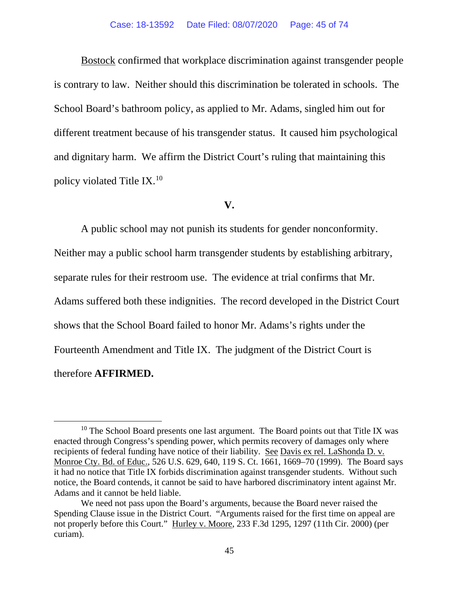Bostock confirmed that workplace discrimination against transgender people is contrary to law. Neither should this discrimination be tolerated in schools. The School Board's bathroom policy, as applied to Mr. Adams, singled him out for different treatment because of his transgender status. It caused him psychological and dignitary harm. We affirm the District Court's ruling that maintaining this policy violated Title IX.[10](#page-44-0)

# **V.**

A public school may not punish its students for gender nonconformity. Neither may a public school harm transgender students by establishing arbitrary, separate rules for their restroom use. The evidence at trial confirms that Mr. Adams suffered both these indignities. The record developed in the District Court shows that the School Board failed to honor Mr. Adams's rights under the Fourteenth Amendment and Title IX. The judgment of the District Court is therefore **AFFIRMED.**

<span id="page-44-0"></span><sup>&</sup>lt;sup>10</sup> The School Board presents one last argument. The Board points out that Title IX was enacted through Congress's spending power, which permits recovery of damages only where recipients of federal funding have notice of their liability. See Davis ex rel. LaShonda D. v. Monroe Cty. Bd. of Educ., 526 U.S. 629, 640, 119 S. Ct. 1661, 1669–70 (1999). The Board says it had no notice that Title IX forbids discrimination against transgender students. Without such notice, the Board contends, it cannot be said to have harbored discriminatory intent against Mr. Adams and it cannot be held liable.

We need not pass upon the Board's arguments, because the Board never raised the Spending Clause issue in the District Court. "Arguments raised for the first time on appeal are not properly before this Court." Hurley v. Moore, 233 F.3d 1295, 1297 (11th Cir. 2000) (per curiam).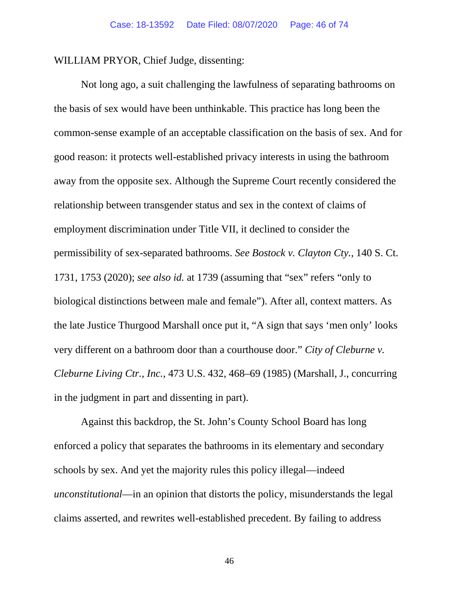WILLIAM PRYOR, Chief Judge, dissenting:

Not long ago, a suit challenging the lawfulness of separating bathrooms on the basis of sex would have been unthinkable. This practice has long been the common-sense example of an acceptable classification on the basis of sex. And for good reason: it protects well-established privacy interests in using the bathroom away from the opposite sex. Although the Supreme Court recently considered the relationship between transgender status and sex in the context of claims of employment discrimination under Title VII, it declined to consider the permissibility of sex-separated bathrooms. *See Bostock v. Clayton Cty.*, 140 S. Ct. 1731, 1753 (2020); *see also id.* at 1739 (assuming that "sex" refers "only to biological distinctions between male and female"). After all, context matters. As the late Justice Thurgood Marshall once put it, "A sign that says 'men only' looks very different on a bathroom door than a courthouse door." *City of Cleburne v. Cleburne Living Ctr., Inc.*, 473 U.S. 432, 468–69 (1985) (Marshall, J., concurring in the judgment in part and dissenting in part).

Against this backdrop, the St. John's County School Board has long enforced a policy that separates the bathrooms in its elementary and secondary schools by sex. And yet the majority rules this policy illegal—indeed *unconstitutional*—in an opinion that distorts the policy, misunderstands the legal claims asserted, and rewrites well-established precedent. By failing to address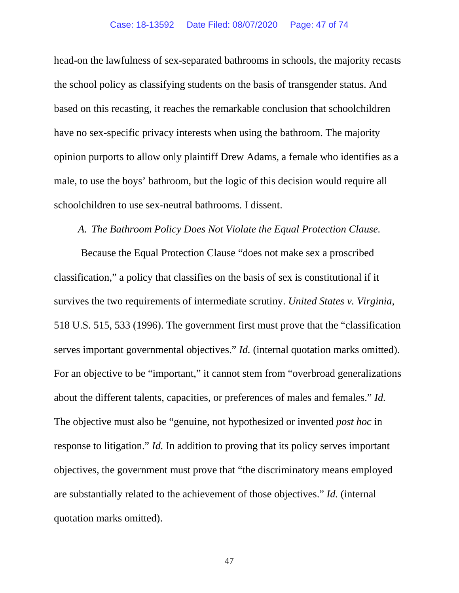head-on the lawfulness of sex-separated bathrooms in schools, the majority recasts the school policy as classifying students on the basis of transgender status. And based on this recasting, it reaches the remarkable conclusion that schoolchildren have no sex-specific privacy interests when using the bathroom. The majority opinion purports to allow only plaintiff Drew Adams, a female who identifies as a male, to use the boys' bathroom, but the logic of this decision would require all schoolchildren to use sex-neutral bathrooms. I dissent.

# *A. The Bathroom Policy Does Not Violate the Equal Protection Clause.*

Because the Equal Protection Clause "does not make sex a proscribed classification," a policy that classifies on the basis of sex is constitutional if it survives the two requirements of intermediate scrutiny. *United States v. Virginia*, 518 U.S. 515, 533 (1996). The government first must prove that the "classification serves important governmental objectives." *Id.* (internal quotation marks omitted). For an objective to be "important," it cannot stem from "overbroad generalizations about the different talents, capacities, or preferences of males and females." *Id.* The objective must also be "genuine, not hypothesized or invented *post hoc* in response to litigation." *Id.* In addition to proving that its policy serves important objectives, the government must prove that "the discriminatory means employed are substantially related to the achievement of those objectives." *Id.* (internal quotation marks omitted).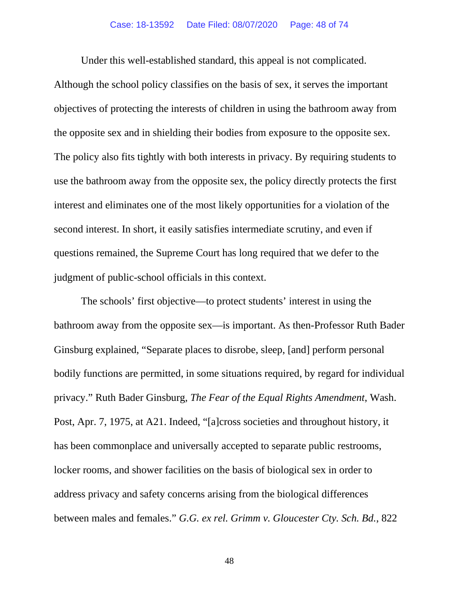Under this well-established standard, this appeal is not complicated.

Although the school policy classifies on the basis of sex, it serves the important objectives of protecting the interests of children in using the bathroom away from the opposite sex and in shielding their bodies from exposure to the opposite sex. The policy also fits tightly with both interests in privacy. By requiring students to use the bathroom away from the opposite sex, the policy directly protects the first interest and eliminates one of the most likely opportunities for a violation of the second interest. In short, it easily satisfies intermediate scrutiny, and even if questions remained, the Supreme Court has long required that we defer to the judgment of public-school officials in this context.

The schools' first objective—to protect students' interest in using the bathroom away from the opposite sex—is important. As then-Professor Ruth Bader Ginsburg explained, "Separate places to disrobe, sleep, [and] perform personal bodily functions are permitted, in some situations required, by regard for individual privacy." Ruth Bader Ginsburg, *The Fear of the Equal Rights Amendment*, Wash. Post, Apr. 7, 1975, at A21. Indeed, "[a]cross societies and throughout history, it has been commonplace and universally accepted to separate public restrooms, locker rooms, and shower facilities on the basis of biological sex in order to address privacy and safety concerns arising from the biological differences between males and females." *G.G. ex rel. Grimm v. Gloucester Cty. Sch. Bd.*, 822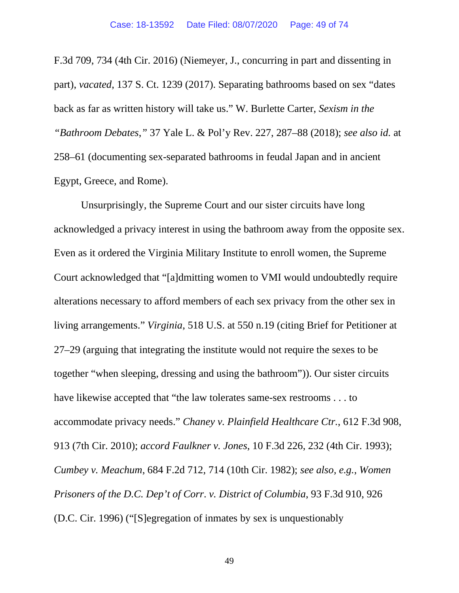F.3d 709, 734 (4th Cir. 2016) (Niemeyer, J., concurring in part and dissenting in part), *vacated*, 137 S. Ct. 1239 (2017). Separating bathrooms based on sex "dates back as far as written history will take us." W. Burlette Carter, *Sexism in the "Bathroom Debates*,*"* 37 Yale L. & Pol'y Rev. 227, 287–88 (2018); *see also id.* at 258–61 (documenting sex-separated bathrooms in feudal Japan and in ancient Egypt, Greece, and Rome).

Unsurprisingly, the Supreme Court and our sister circuits have long acknowledged a privacy interest in using the bathroom away from the opposite sex. Even as it ordered the Virginia Military Institute to enroll women, the Supreme Court acknowledged that "[a]dmitting women to VMI would undoubtedly require alterations necessary to afford members of each sex privacy from the other sex in living arrangements." *Virginia*, 518 U.S. at 550 n.19 (citing Brief for Petitioner at 27–29 (arguing that integrating the institute would not require the sexes to be together "when sleeping, dressing and using the bathroom")). Our sister circuits have likewise accepted that "the law tolerates same-sex restrooms . . . to accommodate privacy needs." *Chaney v. Plainfield Healthcare Ctr.*, 612 F.3d 908, 913 (7th Cir. 2010); *accord Faulkner v. Jones*, 10 F.3d 226, 232 (4th Cir. 1993); *Cumbey v. Meachum*, 684 F.2d 712, 714 (10th Cir. 1982); *see also, e.g.*, *Women Prisoners of the D.C. Dep't of Corr*. *v. District of Columbia*, 93 F.3d 910, 926 (D.C. Cir. 1996) ("[S]egregation of inmates by sex is unquestionably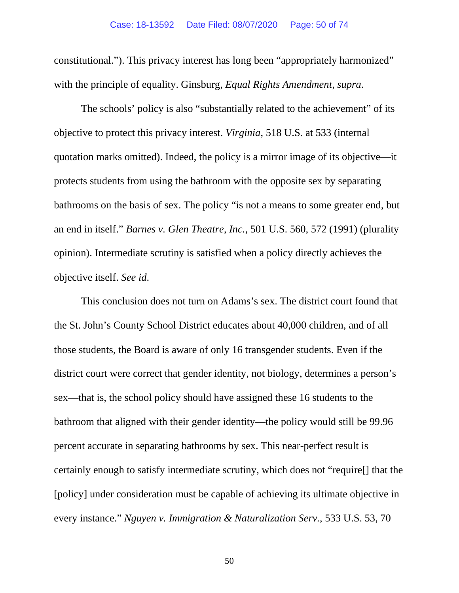constitutional."). This privacy interest has long been "appropriately harmonized" with the principle of equality. Ginsburg, *Equal Rights Amendment*, *supra*.

The schools' policy is also "substantially related to the achievement" of its objective to protect this privacy interest. *Virginia*, 518 U.S. at 533 (internal quotation marks omitted). Indeed, the policy is a mirror image of its objective—it protects students from using the bathroom with the opposite sex by separating bathrooms on the basis of sex. The policy "is not a means to some greater end, but an end in itself." *Barnes v. Glen Theatre, Inc.*, 501 U.S. 560, 572 (1991) (plurality opinion). Intermediate scrutiny is satisfied when a policy directly achieves the objective itself. *See id*.

This conclusion does not turn on Adams's sex. The district court found that the St. John's County School District educates about 40,000 children, and of all those students, the Board is aware of only 16 transgender students. Even if the district court were correct that gender identity, not biology, determines a person's sex—that is, the school policy should have assigned these 16 students to the bathroom that aligned with their gender identity—the policy would still be 99.96 percent accurate in separating bathrooms by sex. This near-perfect result is certainly enough to satisfy intermediate scrutiny, which does not "require[] that the [policy] under consideration must be capable of achieving its ultimate objective in every instance." *Nguyen v. Immigration & Naturalization Serv.*, 533 U.S. 53, 70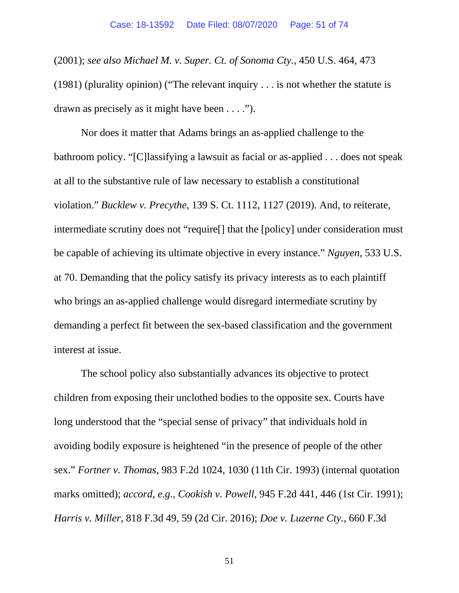(2001); *see also Michael M. v. Super. Ct. of Sonoma Cty.*, 450 U.S. 464, 473 (1981) (plurality opinion) ("The relevant inquiry . . . is not whether the statute is drawn as precisely as it might have been . . . .").

Nor does it matter that Adams brings an as-applied challenge to the bathroom policy. "[C]lassifying a lawsuit as facial or as-applied . . . does not speak at all to the substantive rule of law necessary to establish a constitutional violation." *Bucklew v. Precythe*, 139 S. Ct. 1112, 1127 (2019). And, to reiterate, intermediate scrutiny does not "require[] that the [policy] under consideration must be capable of achieving its ultimate objective in every instance." *Nguyen*, 533 U.S. at 70. Demanding that the policy satisfy its privacy interests as to each plaintiff who brings an as-applied challenge would disregard intermediate scrutiny by demanding a perfect fit between the sex-based classification and the government interest at issue.

The school policy also substantially advances its objective to protect children from exposing their unclothed bodies to the opposite sex. Courts have long understood that the "special sense of privacy" that individuals hold in avoiding bodily exposure is heightened "in the presence of people of the other sex." *Fortner v. Thomas*, 983 F.2d 1024, 1030 (11th Cir. 1993) (internal quotation marks omitted); *accord, e.g.*, *Cookish v. Powell*, 945 F.2d 441, 446 (1st Cir. 1991); *Harris v. Miller*, 818 F.3d 49, 59 (2d Cir. 2016); *Doe v. Luzerne Cty.*, 660 F.3d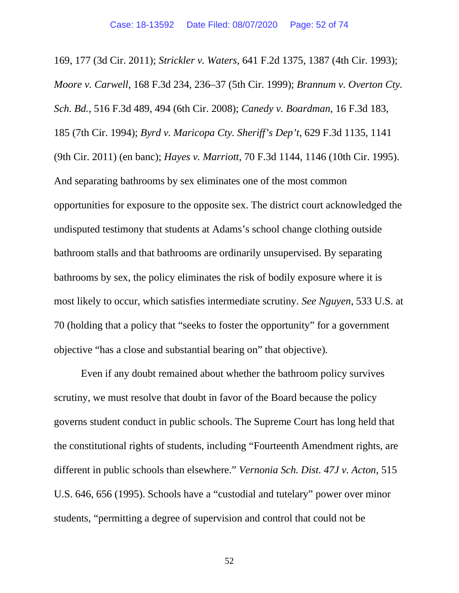169, 177 (3d Cir. 2011); *Strickler v. Waters*, 641 F.2d 1375, 1387 (4th Cir. 1993); *Moore v. Carwell*, 168 F.3d 234, 236–37 (5th Cir. 1999); *Brannum v. Overton Cty. Sch. Bd.*, 516 F.3d 489, 494 (6th Cir. 2008); *Canedy v. Boardman*, 16 F.3d 183, 185 (7th Cir. 1994); *Byrd v. Maricopa Cty. Sheriff's Dep't*, 629 F.3d 1135, 1141 (9th Cir. 2011) (en banc); *Hayes v. Marriott*, 70 F.3d 1144, 1146 (10th Cir. 1995). And separating bathrooms by sex eliminates one of the most common opportunities for exposure to the opposite sex. The district court acknowledged the undisputed testimony that students at Adams's school change clothing outside bathroom stalls and that bathrooms are ordinarily unsupervised. By separating bathrooms by sex, the policy eliminates the risk of bodily exposure where it is most likely to occur, which satisfies intermediate scrutiny. *See Nguyen*, 533 U.S. at 70 (holding that a policy that "seeks to foster the opportunity" for a government objective "has a close and substantial bearing on" that objective).

Even if any doubt remained about whether the bathroom policy survives scrutiny, we must resolve that doubt in favor of the Board because the policy governs student conduct in public schools. The Supreme Court has long held that the constitutional rights of students, including "Fourteenth Amendment rights, are different in public schools than elsewhere." *Vernonia Sch. Dist. 47J v. Acton*, 515 U.S. 646, 656 (1995). Schools have a "custodial and tutelary" power over minor students, "permitting a degree of supervision and control that could not be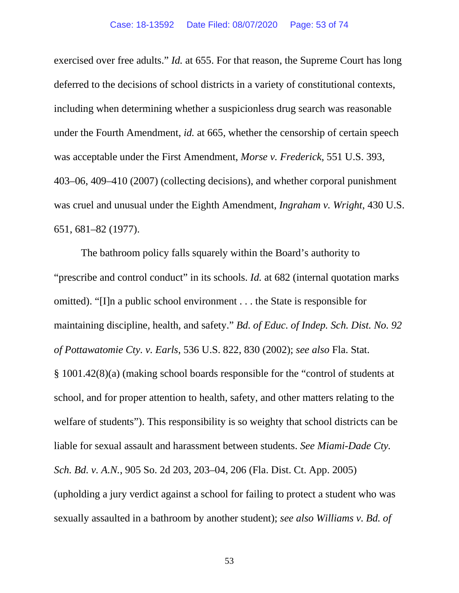exercised over free adults." *Id.* at 655. For that reason, the Supreme Court has long deferred to the decisions of school districts in a variety of constitutional contexts, including when determining whether a suspicionless drug search was reasonable under the Fourth Amendment, *id.* at 665, whether the censorship of certain speech was acceptable under the First Amendment, *Morse v. Frederick*, 551 U.S. 393, 403–06, 409–410 (2007) (collecting decisions), and whether corporal punishment was cruel and unusual under the Eighth Amendment, *Ingraham v. Wright*, 430 U.S. 651, 681–82 (1977).

The bathroom policy falls squarely within the Board's authority to "prescribe and control conduct" in its schools. *Id.* at 682 (internal quotation marks omitted). "[I]n a public school environment . . . the State is responsible for maintaining discipline, health, and safety." *Bd. of Educ. of Indep. Sch. Dist. No. 92 of Pottawatomie Cty. v. Earls*, 536 U.S. 822, 830 (2002); *see also* Fla. Stat. § 1001.42(8)(a) (making school boards responsible for the "control of students at school, and for proper attention to health, safety, and other matters relating to the welfare of students"). This responsibility is so weighty that school districts can be liable for sexual assault and harassment between students. *See Miami-Dade Cty. Sch. Bd. v. A.N.*, 905 So. 2d 203, 203–04, 206 (Fla. Dist. Ct. App. 2005) (upholding a jury verdict against a school for failing to protect a student who was sexually assaulted in a bathroom by another student); *see also Williams v. Bd. of*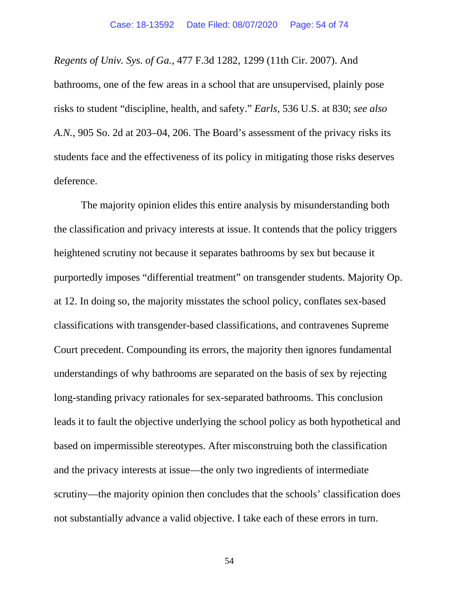*Regents of Univ. Sys. of Ga.*, 477 F.3d 1282, 1299 (11th Cir. 2007). And bathrooms, one of the few areas in a school that are unsupervised, plainly pose risks to student "discipline, health, and safety." *Earls*, 536 U.S. at 830; *see also A.N.*, 905 So. 2d at 203–04, 206. The Board's assessment of the privacy risks its students face and the effectiveness of its policy in mitigating those risks deserves deference.

The majority opinion elides this entire analysis by misunderstanding both the classification and privacy interests at issue. It contends that the policy triggers heightened scrutiny not because it separates bathrooms by sex but because it purportedly imposes "differential treatment" on transgender students. Majority Op. at 12. In doing so, the majority misstates the school policy, conflates sex-based classifications with transgender-based classifications, and contravenes Supreme Court precedent. Compounding its errors, the majority then ignores fundamental understandings of why bathrooms are separated on the basis of sex by rejecting long-standing privacy rationales for sex-separated bathrooms. This conclusion leads it to fault the objective underlying the school policy as both hypothetical and based on impermissible stereotypes. After misconstruing both the classification and the privacy interests at issue—the only two ingredients of intermediate scrutiny—the majority opinion then concludes that the schools' classification does not substantially advance a valid objective. I take each of these errors in turn.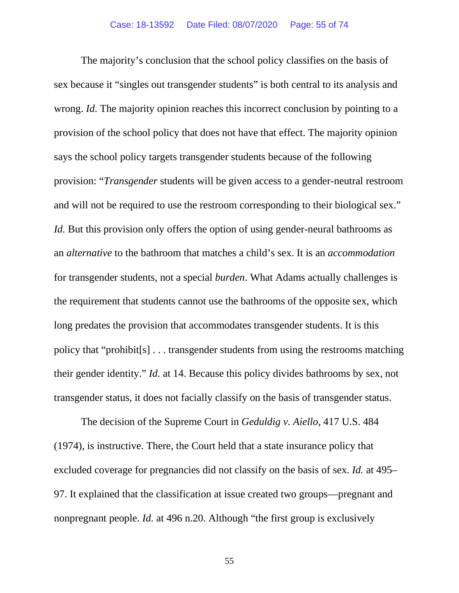The majority's conclusion that the school policy classifies on the basis of sex because it "singles out transgender students" is both central to its analysis and wrong. *Id.* The majority opinion reaches this incorrect conclusion by pointing to a provision of the school policy that does not have that effect. The majority opinion says the school policy targets transgender students because of the following provision: "*Transgender* students will be given access to a gender-neutral restroom and will not be required to use the restroom corresponding to their biological sex." *Id.* But this provision only offers the option of using gender-neural bathrooms as an *alternative* to the bathroom that matches a child's sex. It is an *accommodation* for transgender students, not a special *burden*. What Adams actually challenges is the requirement that students cannot use the bathrooms of the opposite sex, which long predates the provision that accommodates transgender students. It is this policy that "prohibit[s] . . . transgender students from using the restrooms matching their gender identity." *Id.* at 14. Because this policy divides bathrooms by sex, not transgender status, it does not facially classify on the basis of transgender status.

The decision of the Supreme Court in *Geduldig v. Aiello*, 417 U.S. 484 (1974), is instructive. There, the Court held that a state insurance policy that excluded coverage for pregnancies did not classify on the basis of sex. *Id.* at 495– 97. It explained that the classification at issue created two groups—pregnant and nonpregnant people. *Id.* at 496 n.20. Although "the first group is exclusively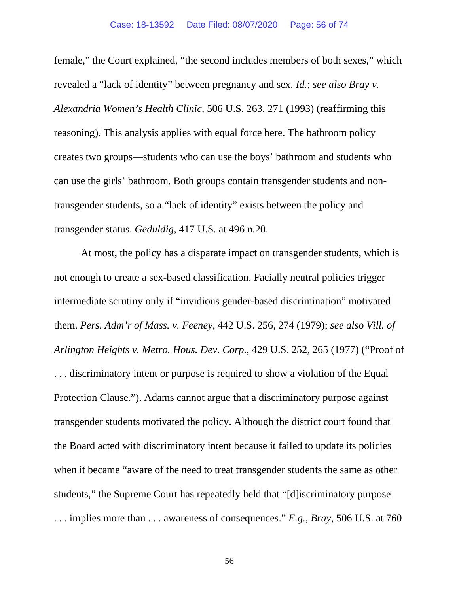female," the Court explained, "the second includes members of both sexes," which revealed a "lack of identity" between pregnancy and sex. *Id.*; *see also Bray v. Alexandria Women's Health Clinic*, 506 U.S. 263, 271 (1993) (reaffirming this reasoning). This analysis applies with equal force here. The bathroom policy creates two groups—students who can use the boys' bathroom and students who can use the girls' bathroom. Both groups contain transgender students and nontransgender students, so a "lack of identity" exists between the policy and transgender status. *Geduldig*, 417 U.S. at 496 n.20.

At most, the policy has a disparate impact on transgender students, which is not enough to create a sex-based classification. Facially neutral policies trigger intermediate scrutiny only if "invidious gender-based discrimination" motivated them. *Pers. Adm'r of Mass. v. Feeney*, 442 U.S. 256, 274 (1979); *see also Vill. of Arlington Heights v. Metro. Hous. Dev. Corp.*, 429 U.S. 252, 265 (1977) ("Proof of . . . discriminatory intent or purpose is required to show a violation of the Equal Protection Clause."). Adams cannot argue that a discriminatory purpose against transgender students motivated the policy. Although the district court found that the Board acted with discriminatory intent because it failed to update its policies when it became "aware of the need to treat transgender students the same as other students," the Supreme Court has repeatedly held that "[d]iscriminatory purpose . . . implies more than . . . awareness of consequences." *E.g.*, *Bray*, 506 U.S. at 760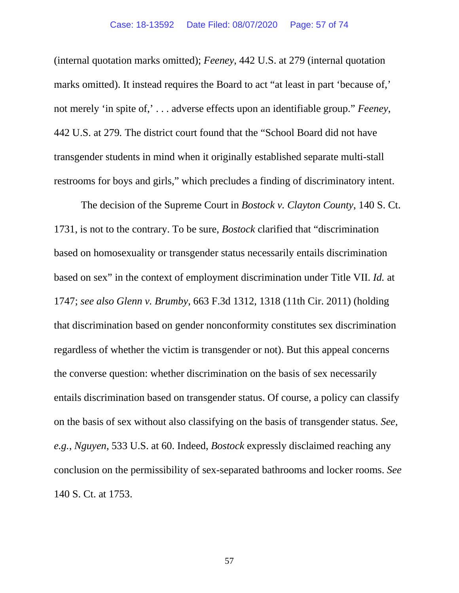(internal quotation marks omitted); *Feeney*, 442 U.S. at 279 (internal quotation marks omitted). It instead requires the Board to act "at least in part 'because of,' not merely 'in spite of,' . . . adverse effects upon an identifiable group." *Feeney*, 442 U.S. at 279*.* The district court found that the "School Board did not have transgender students in mind when it originally established separate multi-stall restrooms for boys and girls," which precludes a finding of discriminatory intent.

The decision of the Supreme Court in *Bostock v. Clayton County*, 140 S. Ct. 1731, is not to the contrary. To be sure, *Bostock* clarified that "discrimination based on homosexuality or transgender status necessarily entails discrimination based on sex" in the context of employment discrimination under Title VII. *Id.* at 1747; *see also Glenn v. Brumby*, 663 F.3d 1312, 1318 (11th Cir. 2011) (holding that discrimination based on gender nonconformity constitutes sex discrimination regardless of whether the victim is transgender or not). But this appeal concerns the converse question: whether discrimination on the basis of sex necessarily entails discrimination based on transgender status. Of course, a policy can classify on the basis of sex without also classifying on the basis of transgender status. *See, e.g.*, *Nguyen*, 533 U.S. at 60. Indeed, *Bostock* expressly disclaimed reaching any conclusion on the permissibility of sex-separated bathrooms and locker rooms. *See* 140 S. Ct. at 1753.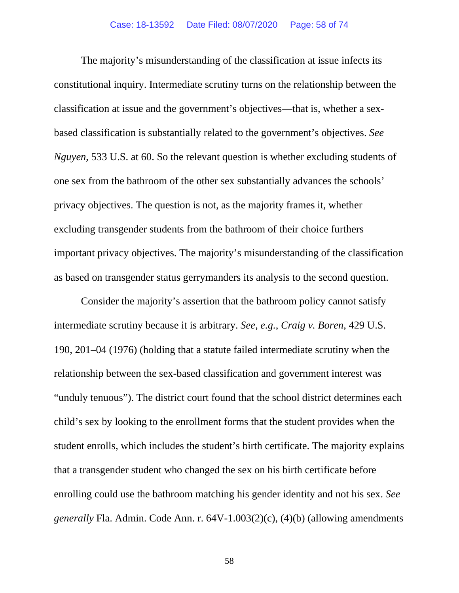The majority's misunderstanding of the classification at issue infects its constitutional inquiry. Intermediate scrutiny turns on the relationship between the classification at issue and the government's objectives—that is, whether a sexbased classification is substantially related to the government's objectives. *See Nguyen*, 533 U.S. at 60. So the relevant question is whether excluding students of one sex from the bathroom of the other sex substantially advances the schools' privacy objectives. The question is not, as the majority frames it, whether excluding transgender students from the bathroom of their choice furthers important privacy objectives. The majority's misunderstanding of the classification as based on transgender status gerrymanders its analysis to the second question.

Consider the majority's assertion that the bathroom policy cannot satisfy intermediate scrutiny because it is arbitrary. *See, e.g.*, *Craig v. Boren*, 429 U.S. 190, 201–04 (1976) (holding that a statute failed intermediate scrutiny when the relationship between the sex-based classification and government interest was "unduly tenuous"). The district court found that the school district determines each child's sex by looking to the enrollment forms that the student provides when the student enrolls, which includes the student's birth certificate. The majority explains that a transgender student who changed the sex on his birth certificate before enrolling could use the bathroom matching his gender identity and not his sex. *See generally* Fla. Admin. Code Ann. r. 64V-1.003(2)(c), (4)(b) (allowing amendments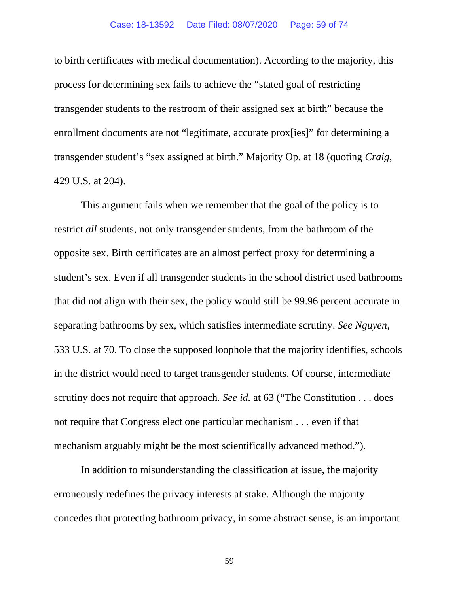# Case: 18-13592 Date Filed: 08/07/2020 Page: 59 of 74

to birth certificates with medical documentation). According to the majority, this process for determining sex fails to achieve the "stated goal of restricting transgender students to the restroom of their assigned sex at birth" because the enrollment documents are not "legitimate, accurate prox[ies]" for determining a transgender student's "sex assigned at birth." Majority Op. at 18 (quoting *Craig*, 429 U.S. at 204).

This argument fails when we remember that the goal of the policy is to restrict *all* students, not only transgender students, from the bathroom of the opposite sex. Birth certificates are an almost perfect proxy for determining a student's sex. Even if all transgender students in the school district used bathrooms that did not align with their sex, the policy would still be 99.96 percent accurate in separating bathrooms by sex, which satisfies intermediate scrutiny. *See Nguyen*, 533 U.S. at 70. To close the supposed loophole that the majority identifies, schools in the district would need to target transgender students. Of course, intermediate scrutiny does not require that approach. *See id.* at 63 ("The Constitution . . . does not require that Congress elect one particular mechanism . . . even if that mechanism arguably might be the most scientifically advanced method.").

In addition to misunderstanding the classification at issue, the majority erroneously redefines the privacy interests at stake. Although the majority concedes that protecting bathroom privacy, in some abstract sense, is an important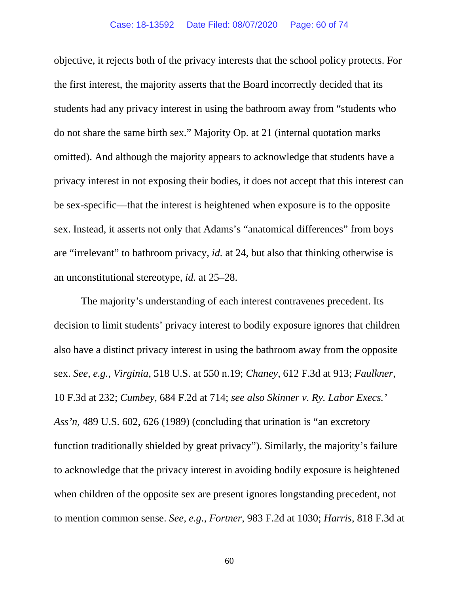objective, it rejects both of the privacy interests that the school policy protects. For the first interest, the majority asserts that the Board incorrectly decided that its students had any privacy interest in using the bathroom away from "students who do not share the same birth sex." Majority Op. at 21 (internal quotation marks omitted). And although the majority appears to acknowledge that students have a privacy interest in not exposing their bodies, it does not accept that this interest can be sex-specific—that the interest is heightened when exposure is to the opposite sex. Instead, it asserts not only that Adams's "anatomical differences" from boys are "irrelevant" to bathroom privacy, *id.* at 24, but also that thinking otherwise is an unconstitutional stereotype, *id.* at 25–28.

The majority's understanding of each interest contravenes precedent. Its decision to limit students' privacy interest to bodily exposure ignores that children also have a distinct privacy interest in using the bathroom away from the opposite sex. *See, e.g.*, *Virginia*, 518 U.S. at 550 n.19; *Chaney*, 612 F.3d at 913; *Faulkner*, 10 F.3d at 232; *Cumbey*, 684 F.2d at 714; *see also Skinner v. Ry. Labor Execs.' Ass'n*, 489 U.S. 602, 626 (1989) (concluding that urination is "an excretory function traditionally shielded by great privacy"). Similarly, the majority's failure to acknowledge that the privacy interest in avoiding bodily exposure is heightened when children of the opposite sex are present ignores longstanding precedent, not to mention common sense. *See, e.g.*, *Fortner*, 983 F.2d at 1030; *Harris*, 818 F.3d at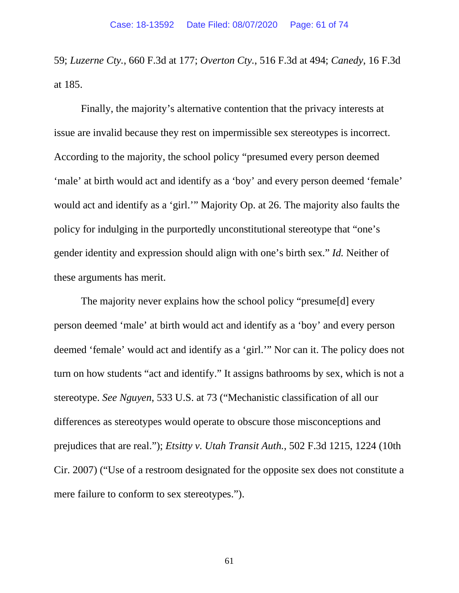59; *Luzerne Cty.*, 660 F.3d at 177; *Overton Cty.*, 516 F.3d at 494; *Canedy*, 16 F.3d at 185.

Finally, the majority's alternative contention that the privacy interests at issue are invalid because they rest on impermissible sex stereotypes is incorrect. According to the majority, the school policy "presumed every person deemed 'male' at birth would act and identify as a 'boy' and every person deemed 'female' would act and identify as a 'girl.'" Majority Op. at 26. The majority also faults the policy for indulging in the purportedly unconstitutional stereotype that "one's gender identity and expression should align with one's birth sex." *Id.* Neither of these arguments has merit.

The majority never explains how the school policy "presume[d] every person deemed 'male' at birth would act and identify as a 'boy' and every person deemed 'female' would act and identify as a 'girl.'" Nor can it. The policy does not turn on how students "act and identify." It assigns bathrooms by sex, which is not a stereotype. *See Nguyen*, 533 U.S. at 73 ("Mechanistic classification of all our differences as stereotypes would operate to obscure those misconceptions and prejudices that are real."); *Etsitty v. Utah Transit Auth.*, 502 F.3d 1215, 1224 (10th Cir. 2007) ("Use of a restroom designated for the opposite sex does not constitute a mere failure to conform to sex stereotypes.").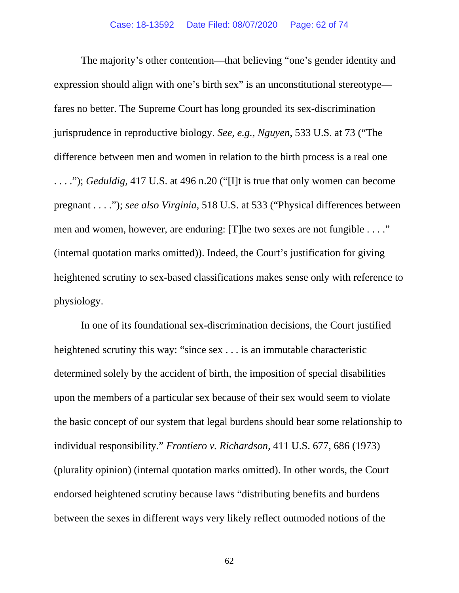The majority's other contention—that believing "one's gender identity and expression should align with one's birth sex" is an unconstitutional stereotype fares no better. The Supreme Court has long grounded its sex-discrimination jurisprudence in reproductive biology. *See, e.g.*, *Nguyen*, 533 U.S. at 73 ("The difference between men and women in relation to the birth process is a real one . . . ."); *Geduldig*, 417 U.S. at 496 n.20 ("[I]t is true that only women can become pregnant . . . ."); *see also Virginia*, 518 U.S. at 533 ("Physical differences between men and women, however, are enduring: [T]he two sexes are not fungible . . . ." (internal quotation marks omitted)). Indeed, the Court's justification for giving heightened scrutiny to sex-based classifications makes sense only with reference to physiology.

In one of its foundational sex-discrimination decisions, the Court justified heightened scrutiny this way: "since sex . . . is an immutable characteristic determined solely by the accident of birth, the imposition of special disabilities upon the members of a particular sex because of their sex would seem to violate the basic concept of our system that legal burdens should bear some relationship to individual responsibility." *Frontiero v. Richardson*, 411 U.S. 677, 686 (1973) (plurality opinion) (internal quotation marks omitted). In other words, the Court endorsed heightened scrutiny because laws "distributing benefits and burdens between the sexes in different ways very likely reflect outmoded notions of the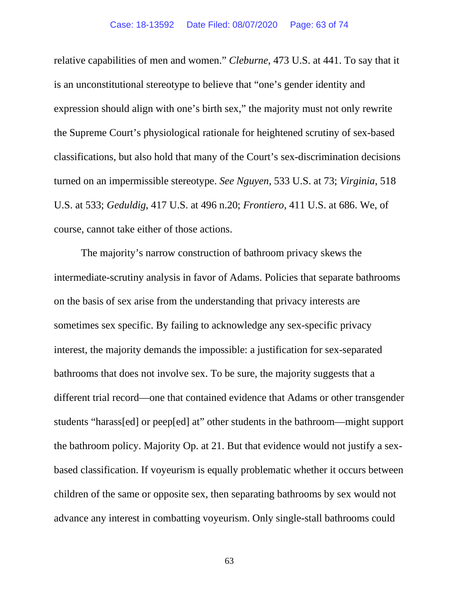relative capabilities of men and women." *Cleburne*, 473 U.S. at 441. To say that it is an unconstitutional stereotype to believe that "one's gender identity and expression should align with one's birth sex," the majority must not only rewrite the Supreme Court's physiological rationale for heightened scrutiny of sex-based classifications, but also hold that many of the Court's sex-discrimination decisions turned on an impermissible stereotype. *See Nguyen*, 533 U.S. at 73; *Virginia*, 518 U.S. at 533; *Geduldig*, 417 U.S. at 496 n.20; *Frontiero*, 411 U.S. at 686. We, of course, cannot take either of those actions.

The majority's narrow construction of bathroom privacy skews the intermediate-scrutiny analysis in favor of Adams. Policies that separate bathrooms on the basis of sex arise from the understanding that privacy interests are sometimes sex specific. By failing to acknowledge any sex-specific privacy interest, the majority demands the impossible: a justification for sex-separated bathrooms that does not involve sex. To be sure, the majority suggests that a different trial record—one that contained evidence that Adams or other transgender students "harass[ed] or peep[ed] at" other students in the bathroom—might support the bathroom policy. Majority Op. at 21. But that evidence would not justify a sexbased classification. If voyeurism is equally problematic whether it occurs between children of the same or opposite sex, then separating bathrooms by sex would not advance any interest in combatting voyeurism. Only single-stall bathrooms could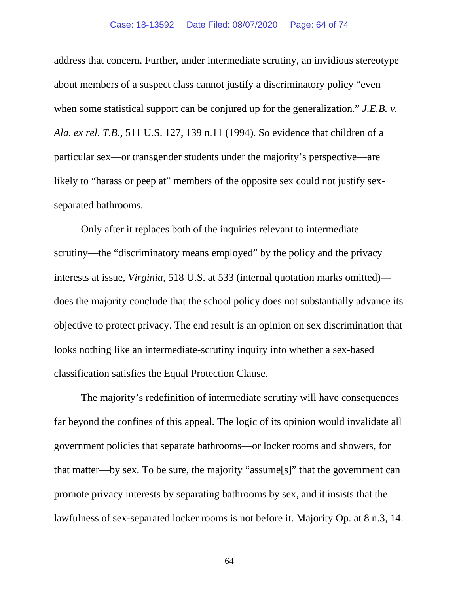### Case: 18-13592 Date Filed: 08/07/2020 Page: 64 of 74

address that concern. Further, under intermediate scrutiny, an invidious stereotype about members of a suspect class cannot justify a discriminatory policy "even when some statistical support can be conjured up for the generalization." *J.E.B. v. Ala. ex rel. T.B.*, 511 U.S. 127, 139 n.11 (1994). So evidence that children of a particular sex—or transgender students under the majority's perspective—are likely to "harass or peep at" members of the opposite sex could not justify sexseparated bathrooms.

Only after it replaces both of the inquiries relevant to intermediate scrutiny—the "discriminatory means employed" by the policy and the privacy interests at issue, *Virginia*, 518 U.S. at 533 (internal quotation marks omitted) does the majority conclude that the school policy does not substantially advance its objective to protect privacy. The end result is an opinion on sex discrimination that looks nothing like an intermediate-scrutiny inquiry into whether a sex-based classification satisfies the Equal Protection Clause.

The majority's redefinition of intermediate scrutiny will have consequences far beyond the confines of this appeal. The logic of its opinion would invalidate all government policies that separate bathrooms—or locker rooms and showers, for that matter—by sex. To be sure, the majority "assume[s]" that the government can promote privacy interests by separating bathrooms by sex, and it insists that the lawfulness of sex-separated locker rooms is not before it. Majority Op. at 8 n.3, 14.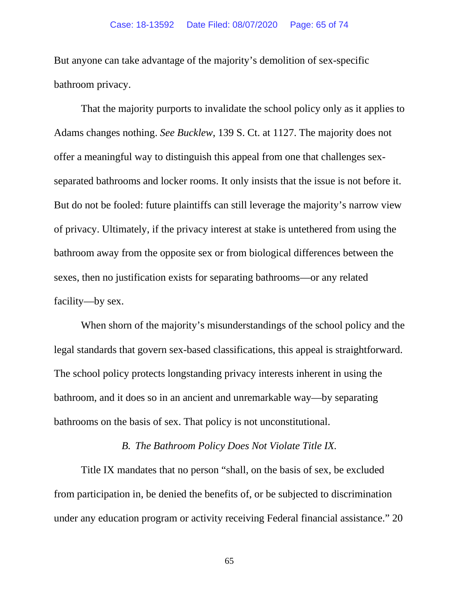But anyone can take advantage of the majority's demolition of sex-specific bathroom privacy.

That the majority purports to invalidate the school policy only as it applies to Adams changes nothing. *See Bucklew*, 139 S. Ct. at 1127. The majority does not offer a meaningful way to distinguish this appeal from one that challenges sexseparated bathrooms and locker rooms. It only insists that the issue is not before it. But do not be fooled: future plaintiffs can still leverage the majority's narrow view of privacy. Ultimately, if the privacy interest at stake is untethered from using the bathroom away from the opposite sex or from biological differences between the sexes, then no justification exists for separating bathrooms—or any related facility—by sex.

When shorn of the majority's misunderstandings of the school policy and the legal standards that govern sex-based classifications, this appeal is straightforward. The school policy protects longstanding privacy interests inherent in using the bathroom, and it does so in an ancient and unremarkable way—by separating bathrooms on the basis of sex. That policy is not unconstitutional.

# *B. The Bathroom Policy Does Not Violate Title IX.*

Title IX mandates that no person "shall, on the basis of sex, be excluded from participation in, be denied the benefits of, or be subjected to discrimination under any education program or activity receiving Federal financial assistance." 20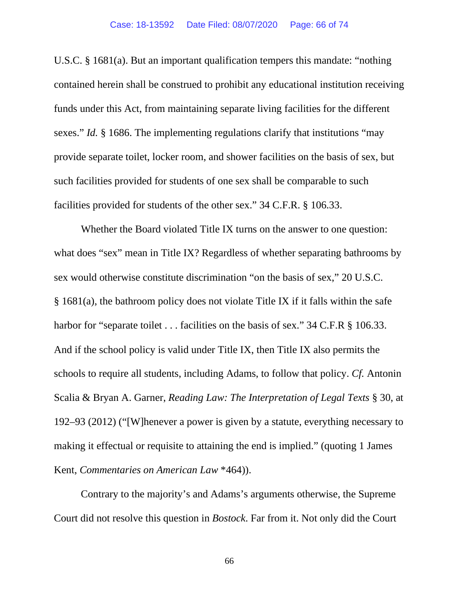U.S.C. § 1681(a). But an important qualification tempers this mandate: "nothing contained herein shall be construed to prohibit any educational institution receiving funds under this Act, from maintaining separate living facilities for the different sexes." *Id.* § 1686. The implementing regulations clarify that institutions "may provide separate toilet, locker room, and shower facilities on the basis of sex, but such facilities provided for students of one sex shall be comparable to such facilities provided for students of the other sex." 34 C.F.R. § 106.33.

Whether the Board violated Title IX turns on the answer to one question: what does "sex" mean in Title IX? Regardless of whether separating bathrooms by sex would otherwise constitute discrimination "on the basis of sex," 20 U.S.C. § 1681(a), the bathroom policy does not violate Title IX if it falls within the safe harbor for "separate toilet . . . facilities on the basis of sex." 34 C.F.R § 106.33. And if the school policy is valid under Title IX, then Title IX also permits the schools to require all students, including Adams, to follow that policy. *Cf.* Antonin Scalia & Bryan A. Garner, *Reading Law: The Interpretation of Legal Texts* § 30, at 192–93 (2012) ("[W]henever a power is given by a statute, everything necessary to making it effectual or requisite to attaining the end is implied." (quoting 1 James Kent, *Commentaries on American Law* \*464)).

Contrary to the majority's and Adams's arguments otherwise, the Supreme Court did not resolve this question in *Bostock*. Far from it. Not only did the Court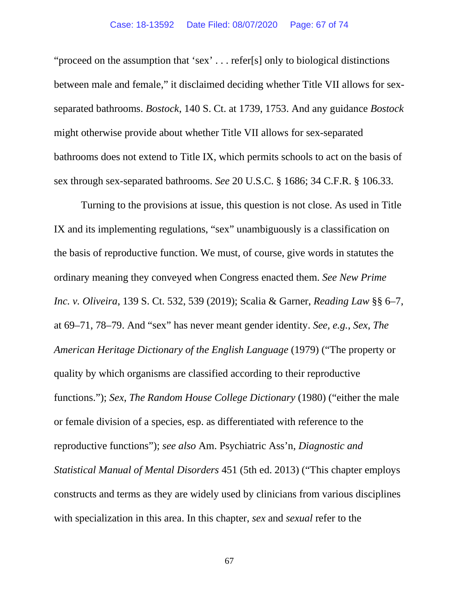# Case: 18-13592 Date Filed: 08/07/2020 Page: 67 of 74

"proceed on the assumption that 'sex' . . . refer[s] only to biological distinctions between male and female," it disclaimed deciding whether Title VII allows for sexseparated bathrooms. *Bostock*, 140 S. Ct. at 1739, 1753. And any guidance *Bostock* might otherwise provide about whether Title VII allows for sex-separated bathrooms does not extend to Title IX, which permits schools to act on the basis of sex through sex-separated bathrooms. *See* 20 U.S.C. § 1686; 34 C.F.R. § 106.33.

Turning to the provisions at issue, this question is not close. As used in Title IX and its implementing regulations, "sex" unambiguously is a classification on the basis of reproductive function. We must, of course, give words in statutes the ordinary meaning they conveyed when Congress enacted them. *See New Prime Inc. v. Oliveira*, 139 S. Ct. 532, 539 (2019); Scalia & Garner, *Reading Law* §§ 6–7, at 69–71, 78–79. And "sex" has never meant gender identity. *See, e.g.*, *Sex*, *The American Heritage Dictionary of the English Language* (1979) ("The property or quality by which organisms are classified according to their reproductive functions."); *Sex*, *The Random House College Dictionary* (1980) ("either the male or female division of a species, esp. as differentiated with reference to the reproductive functions"); *see also* Am. Psychiatric Ass'n, *Diagnostic and Statistical Manual of Mental Disorders* 451 (5th ed. 2013) ("This chapter employs constructs and terms as they are widely used by clinicians from various disciplines with specialization in this area. In this chapter, *sex* and *sexual* refer to the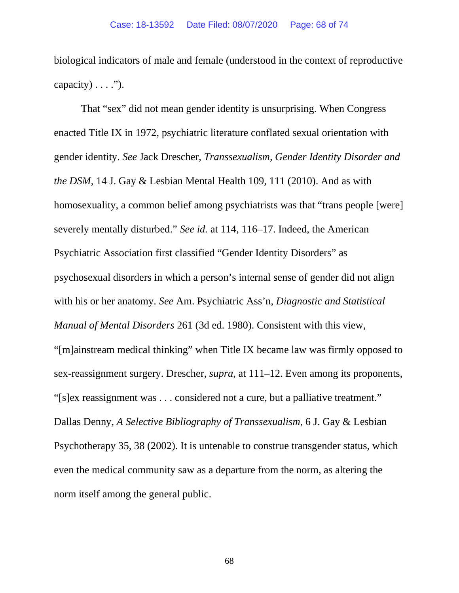biological indicators of male and female (understood in the context of reproductive capacity)  $\dots$ .").

That "sex" did not mean gender identity is unsurprising. When Congress enacted Title IX in 1972, psychiatric literature conflated sexual orientation with gender identity. *See* Jack Drescher, *Transsexualism, Gender Identity Disorder and the DSM*, 14 J. Gay & Lesbian Mental Health 109, 111 (2010). And as with homosexuality, a common belief among psychiatrists was that "trans people [were] severely mentally disturbed." *See id.* at 114, 116–17. Indeed, the American Psychiatric Association first classified "Gender Identity Disorders" as psychosexual disorders in which a person's internal sense of gender did not align with his or her anatomy. *See* Am. Psychiatric Ass'n, *Diagnostic and Statistical Manual of Mental Disorders* 261 (3d ed. 1980). Consistent with this view, "[m]ainstream medical thinking" when Title IX became law was firmly opposed to sex-reassignment surgery. Drescher, *supra*, at 111–12. Even among its proponents, "[s]ex reassignment was . . . considered not a cure, but a palliative treatment." Dallas Denny, *A Selective Bibliography of Transsexualism*, 6 J. Gay & Lesbian Psychotherapy 35, 38 (2002). It is untenable to construe transgender status, which even the medical community saw as a departure from the norm, as altering the norm itself among the general public.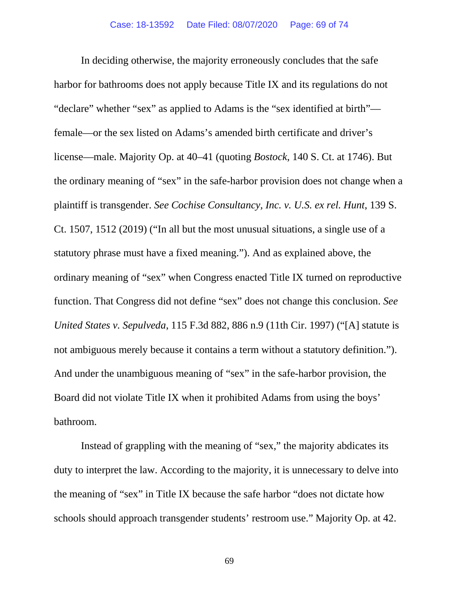In deciding otherwise, the majority erroneously concludes that the safe harbor for bathrooms does not apply because Title IX and its regulations do not "declare" whether "sex" as applied to Adams is the "sex identified at birth" female—or the sex listed on Adams's amended birth certificate and driver's license—male. Majority Op. at 40–41 (quoting *Bostock*, 140 S. Ct. at 1746). But the ordinary meaning of "sex" in the safe-harbor provision does not change when a plaintiff is transgender. *See Cochise Consultancy, Inc. v. U.S. ex rel. Hunt*, 139 S. Ct. 1507, 1512 (2019) ("In all but the most unusual situations, a single use of a statutory phrase must have a fixed meaning."). And as explained above, the ordinary meaning of "sex" when Congress enacted Title IX turned on reproductive function. That Congress did not define "sex" does not change this conclusion. *See United States v. Sepulveda*, 115 F.3d 882, 886 n.9 (11th Cir. 1997) ("[A] statute is not ambiguous merely because it contains a term without a statutory definition."). And under the unambiguous meaning of "sex" in the safe-harbor provision, the Board did not violate Title IX when it prohibited Adams from using the boys' bathroom.

Instead of grappling with the meaning of "sex," the majority abdicates its duty to interpret the law. According to the majority, it is unnecessary to delve into the meaning of "sex" in Title IX because the safe harbor "does not dictate how schools should approach transgender students' restroom use." Majority Op. at 42.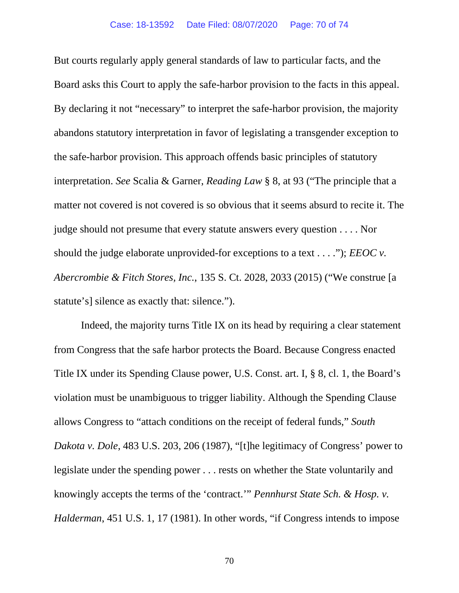But courts regularly apply general standards of law to particular facts, and the Board asks this Court to apply the safe-harbor provision to the facts in this appeal. By declaring it not "necessary" to interpret the safe-harbor provision, the majority abandons statutory interpretation in favor of legislating a transgender exception to the safe-harbor provision. This approach offends basic principles of statutory interpretation. *See* Scalia & Garner, *Reading Law* § 8, at 93 ("The principle that a matter not covered is not covered is so obvious that it seems absurd to recite it. The judge should not presume that every statute answers every question . . . . Nor should the judge elaborate unprovided-for exceptions to a text . . . ."); *EEOC v. Abercrombie & Fitch Stores, Inc.*, 135 S. Ct. 2028, 2033 (2015) ("We construe [a statute's] silence as exactly that: silence.").

Indeed, the majority turns Title IX on its head by requiring a clear statement from Congress that the safe harbor protects the Board. Because Congress enacted Title IX under its Spending Clause power, U.S. Const. art. I, § 8, cl. 1, the Board's violation must be unambiguous to trigger liability. Although the Spending Clause allows Congress to "attach conditions on the receipt of federal funds," *South Dakota v. Dole*, 483 U.S. 203, 206 (1987), "[t]he legitimacy of Congress' power to legislate under the spending power . . . rests on whether the State voluntarily and knowingly accepts the terms of the 'contract.'" *Pennhurst State Sch. & Hosp. v. Halderman*, 451 U.S. 1, 17 (1981). In other words, "if Congress intends to impose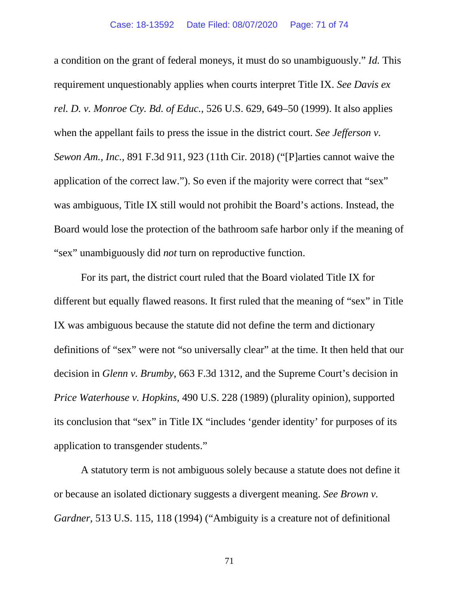a condition on the grant of federal moneys, it must do so unambiguously." *Id.* This requirement unquestionably applies when courts interpret Title IX. *See Davis ex rel. D. v. Monroe Cty. Bd. of Educ.*, 526 U.S. 629, 649–50 (1999). It also applies when the appellant fails to press the issue in the district court. *See Jefferson v. Sewon Am., Inc.*, 891 F.3d 911, 923 (11th Cir. 2018) ("[P]arties cannot waive the application of the correct law."). So even if the majority were correct that "sex" was ambiguous, Title IX still would not prohibit the Board's actions. Instead, the Board would lose the protection of the bathroom safe harbor only if the meaning of "sex" unambiguously did *not* turn on reproductive function.

For its part, the district court ruled that the Board violated Title IX for different but equally flawed reasons. It first ruled that the meaning of "sex" in Title IX was ambiguous because the statute did not define the term and dictionary definitions of "sex" were not "so universally clear" at the time. It then held that our decision in *Glenn v. Brumby*, 663 F.3d 1312, and the Supreme Court's decision in *Price Waterhouse v. Hopkins*, 490 U.S. 228 (1989) (plurality opinion), supported its conclusion that "sex" in Title IX "includes 'gender identity' for purposes of its application to transgender students."

A statutory term is not ambiguous solely because a statute does not define it or because an isolated dictionary suggests a divergent meaning. *See Brown v. Gardner*, 513 U.S. 115, 118 (1994) ("Ambiguity is a creature not of definitional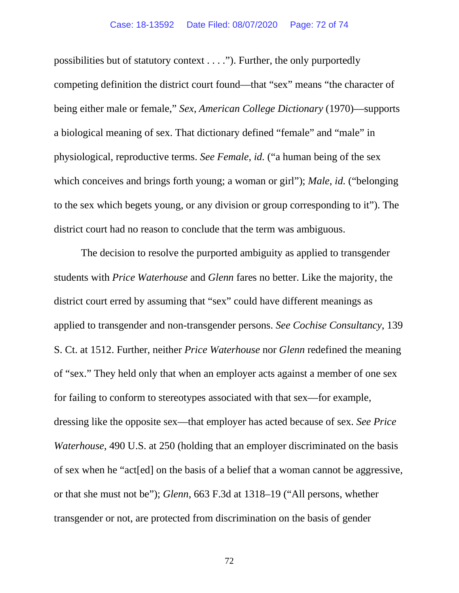possibilities but of statutory context . . . ."). Further, the only purportedly competing definition the district court found—that "sex" means "the character of being either male or female," *Sex*, *American College Dictionary* (1970)—supports a biological meaning of sex. That dictionary defined "female" and "male" in physiological, reproductive terms. *See Female*, *id.* ("a human being of the sex which conceives and brings forth young; a woman or girl"); *Male*, *id.* ("belonging to the sex which begets young, or any division or group corresponding to it"). The district court had no reason to conclude that the term was ambiguous.

The decision to resolve the purported ambiguity as applied to transgender students with *Price Waterhouse* and *Glenn* fares no better. Like the majority, the district court erred by assuming that "sex" could have different meanings as applied to transgender and non-transgender persons. *See Cochise Consultancy*, 139 S. Ct. at 1512. Further, neither *Price Waterhouse* nor *Glenn* redefined the meaning of "sex." They held only that when an employer acts against a member of one sex for failing to conform to stereotypes associated with that sex—for example, dressing like the opposite sex—that employer has acted because of sex. *See Price Waterhouse*, 490 U.S. at 250 (holding that an employer discriminated on the basis of sex when he "act[ed] on the basis of a belief that a woman cannot be aggressive, or that she must not be"); *Glenn*, 663 F.3d at 1318–19 ("All persons, whether transgender or not, are protected from discrimination on the basis of gender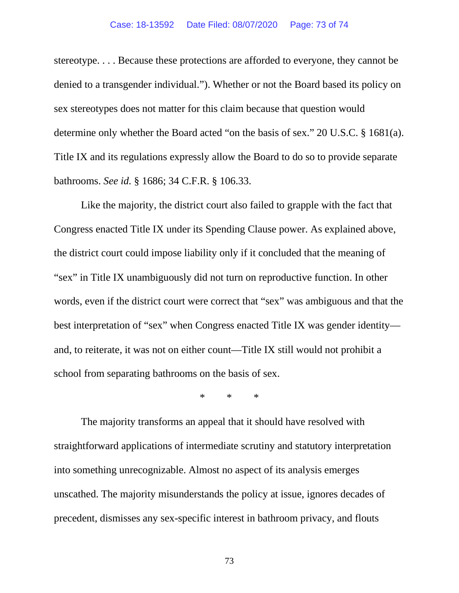## Case: 18-13592 Date Filed: 08/07/2020 Page: 73 of 74

stereotype. . . . Because these protections are afforded to everyone, they cannot be denied to a transgender individual."). Whether or not the Board based its policy on sex stereotypes does not matter for this claim because that question would determine only whether the Board acted "on the basis of sex." 20 U.S.C. § 1681(a). Title IX and its regulations expressly allow the Board to do so to provide separate bathrooms. *See id.* § 1686; 34 C.F.R. § 106.33.

Like the majority, the district court also failed to grapple with the fact that Congress enacted Title IX under its Spending Clause power. As explained above, the district court could impose liability only if it concluded that the meaning of "sex" in Title IX unambiguously did not turn on reproductive function. In other words, even if the district court were correct that "sex" was ambiguous and that the best interpretation of "sex" when Congress enacted Title IX was gender identity and, to reiterate, it was not on either count—Title IX still would not prohibit a school from separating bathrooms on the basis of sex.

\* \* \*

The majority transforms an appeal that it should have resolved with straightforward applications of intermediate scrutiny and statutory interpretation into something unrecognizable. Almost no aspect of its analysis emerges unscathed. The majority misunderstands the policy at issue, ignores decades of precedent, dismisses any sex-specific interest in bathroom privacy, and flouts

73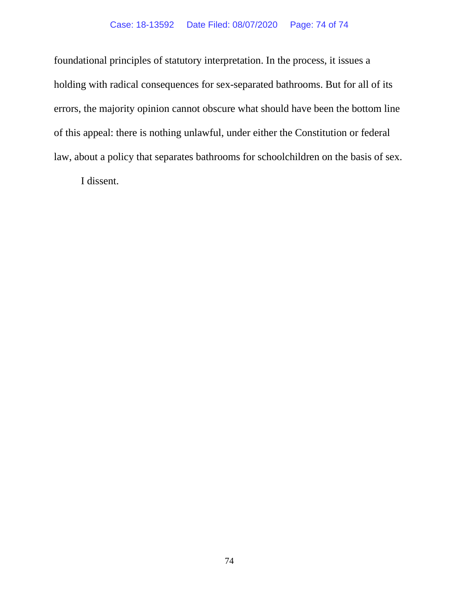## Case: 18-13592 Date Filed: 08/07/2020 Page: 74 of 74

foundational principles of statutory interpretation. In the process, it issues a holding with radical consequences for sex-separated bathrooms. But for all of its errors, the majority opinion cannot obscure what should have been the bottom line of this appeal: there is nothing unlawful, under either the Constitution or federal law, about a policy that separates bathrooms for schoolchildren on the basis of sex.

I dissent.